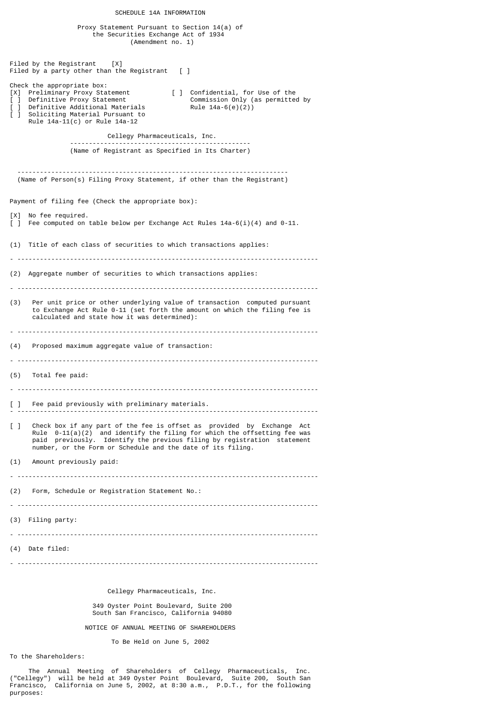Proxy Statement Pursuant to Section 14(a) of the Securities Exchange Act of 1934 (Amendment no. 1) Filed by the Registrant [X] Filed by a party other than the Registrant  $\lceil \cdot \rceil$ Check the appropriate box: [X] Preliminary Proxy Statement [ ] Confidential, for Use of the<br>
[ ] Definitive Proxy Statement [ ] Commission Only (as permitted by<br>
[ ] Definitive Additional Materials Rule 14a-6(e)(2)) [ ] Definitive Proxy Statement Commission Only (as permitted by [ ] Definitive Additional Materials Rule 14a-6(e)(2)) [ ] Soliciting Material Pursuant to Rule 14a-11(c) or Rule 14a-12 Cellegy Pharmaceuticals, Inc. ------------------------------------------------ (Name of Registrant as Specified in Its Charter) ------------------------------------------------------------------------ (Name of Person(s) Filing Proxy Statement, if other than the Registrant) Payment of filing fee (Check the appropriate box): [X] No fee required. [ ] Fee computed on table below per Exchange Act Rules 14a-6(i)(4) and 0-11. (1) Title of each class of securities to which transactions applies: (2) Aggregate number of securities to which transactions applies: - -------------------------------------------------------------------------------- (3) Per unit price or other underlying value of transaction computed pursuant to Exchange Act Rule 0-11 (set forth the amount on which the filing fee is calculated and state how it was determined): - -------------------------------------------------------------------------------- (4) Proposed maximum aggregate value of transaction: - -------------------------------------------------------------------------------- (5) Total fee paid: - -------------------------------------------------------------------------------- [ ] Fee paid previously with preliminary materials. - -------------------------------------------------------------------------------- [ ] Check box if any part of the fee is offset as provided by Exchange Act Rule 0-11(a)(2) and identify the filing for which the offsetting fee was paid previously. Identify the previous filing by registration statement number, or the Form or Schedule and the date of its filing. (1) Amount previously paid: - -------------------------------------------------------------------------------- (2) Form, Schedule or Registration Statement No.: - -------------------------------------------------------------------------------- (3) Filing party: - -------------------------------------------------------------------------------- (4) Date filed: - -------------------------------------------------------------------------------- Cellegy Pharmaceuticals, Inc.

SCHEDULE 14A INFORMATION

 349 Oyster Point Boulevard, Suite 200 South San Francisco, California 94080

NOTICE OF ANNUAL MEETING OF SHAREHOLDERS

To Be Held on June 5, 2002

To the Shareholders:

 The Annual Meeting of Shareholders of Cellegy Pharmaceuticals, Inc. ("Cellegy") will be held at 349 Oyster Point Boulevard, Suite 200, South San Francisco, California on June 5, 2002, at 8:30 a.m., P.D.T., for the following purposes: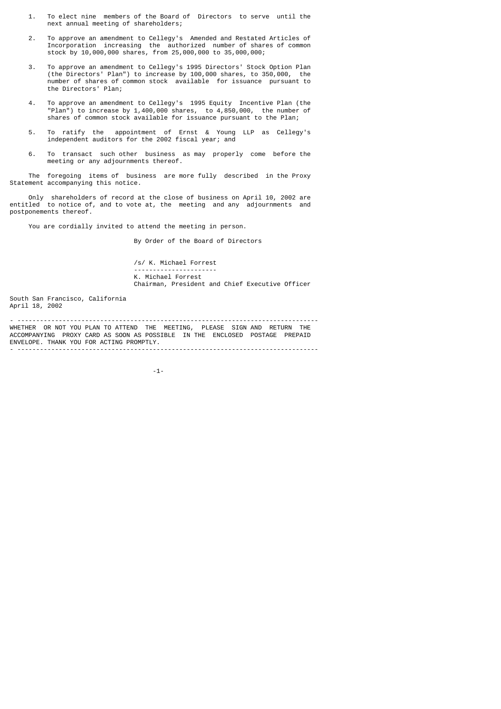- 1. To elect nine members of the Board of Directors to serve until the next annual meeting of shareholders;
- 2. To approve an amendment to Cellegy's Amended and Restated Articles of Incorporation increasing the authorized number of shares of common stock by 10,000,000 shares, from 25,000,000 to 35,000,000;
- 3. To approve an amendment to Cellegy's 1995 Directors' Stock Option Plan (the Directors' Plan") to increase by 100,000 shares, to 350,000, the number of shares of common stock available for issuance pursuant to the Directors' Plan;
	- 4. To approve an amendment to Cellegy's 1995 Equity Incentive Plan (the "Plan") to increase by 1,400,000 shares, to 4,850,000, the number of shares of common stock available for issuance pursuant to the Plan;
- 5. To ratify the appointment of Ernst & Young LLP as Cellegy's independent auditors for the 2002 fiscal year; and
	- 6. To transact such other business as may properly come before the meeting or any adjournments thereof.

 The foregoing items of business are more fully described in the Proxy Statement accompanying this notice.

 Only shareholders of record at the close of business on April 10, 2002 are entitled to notice of, and to vote at, the meeting and any adjournments and postponements thereof.

You are cordially invited to attend the meeting in person.

By Order of the Board of Directors

 /s/ K. Michael Forrest ---------------------- K. Michael Forrest Chairman, President and Chief Executive Officer

South San Francisco, California April 18, 2002

- -------------------------------------------------------------------------------- WHETHER OR NOT YOU PLAN TO ATTEND THE MEETING, PLEASE SIGN AND RETURN THE ACCOMPANYING PROXY CARD AS SOON AS POSSIBLE IN THE ENCLOSED POSTAGE PREPAID ENVELOPE. THANK YOU FOR ACTING PROMPTLY.

-1-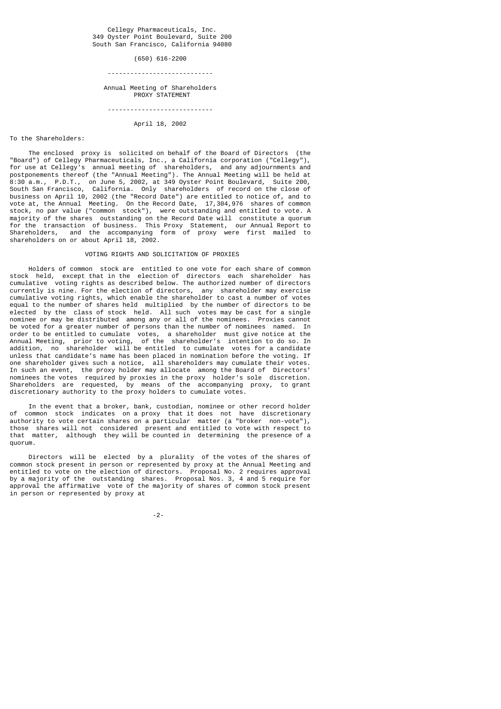#### Cellegy Pharmaceuticals, Inc. 349 Oyster Point Boulevard, Suite 200 South San Francisco, California 94080

 (650) 616-2200 ----------------------------

# Annual Meeting of Shareholders PROXY STATEMENT

----------------------------

## April 18, 2002

#### To the Shareholders:

 The enclosed proxy is solicited on behalf of the Board of Directors (the "Board") of Cellegy Pharmaceuticals, Inc., a California corporation ("Cellegy"), for use at Cellegy's annual meeting of shareholders, and any adjournments and postponements thereof (the "Annual Meeting"). The Annual Meeting will be held at 8:30 a.m., P.D.T., on June 5, 2002, at 349 Oyster Point Boulevard, Suite 200, South San Francisco, California. Only shareholders of record on the close of business on April 10, 2002 (the "Record Date") are entitled to notice of, and to vote at, the Annual Meeting. On the Record Date, 17,304,976 shares of common stock, no par value ("common stock"), were outstanding and entitled to vote. A majority of the shares outstanding on the Record Date will constitute a quorum for the transaction of business. This Proxy Statement, our Annual Report to Shareholders, and the accompanying form of proxy were first mailed to shareholders on or about April 18, 2002.

# VOTING RIGHTS AND SOLICITATION OF PROXIES

 Holders of common stock are entitled to one vote for each share of common stock held, except that in the election of directors each shareholder has cumulative voting rights as described below. The authorized number of directors currently is nine. For the election of directors, any shareholder may exercise cumulative voting rights, which enable the shareholder to cast a number of votes equal to the number of shares held multiplied by the number of directors to be elected by the class of stock held. All such votes may be cast for a single nominee or may be distributed among any or all of the nominees. Proxies cannot be voted for a greater number of persons than the number of nominees named. In order to be entitled to cumulate votes, a shareholder must give notice at the Annual Meeting, prior to voting, of the shareholder's intention to do so. In addition, no shareholder will be entitled to cumulate votes for a candidate unless that candidate's name has been placed in nomination before the voting. If one shareholder gives such a notice, all shareholders may cumulate their votes. In such an event, the proxy holder may allocate among the Board of Directors' nominees the votes required by proxies in the proxy holder's sole discretion. Shareholders are requested, by means of the accompanying proxy, to grant discretionary authority to the proxy holders to cumulate votes.

 In the event that a broker, bank, custodian, nominee or other record holder of common stock indicates on a proxy that it does not have discretionary authority to vote certain shares on a particular matter (a "broker non-vote"), those shares will not considered present and entitled to vote with respect to that matter, although they will be counted in determining the presence of a quorum.

 Directors will be elected by a plurality of the votes of the shares of common stock present in person or represented by proxy at the Annual Meeting and entitled to vote on the election of directors. Proposal No. 2 requires approval by a majority of the outstanding shares. Proposal Nos. 3, 4 and 5 require for approval the affirmative vote of the majority of shares of common stock present in person or represented by proxy at

# -2-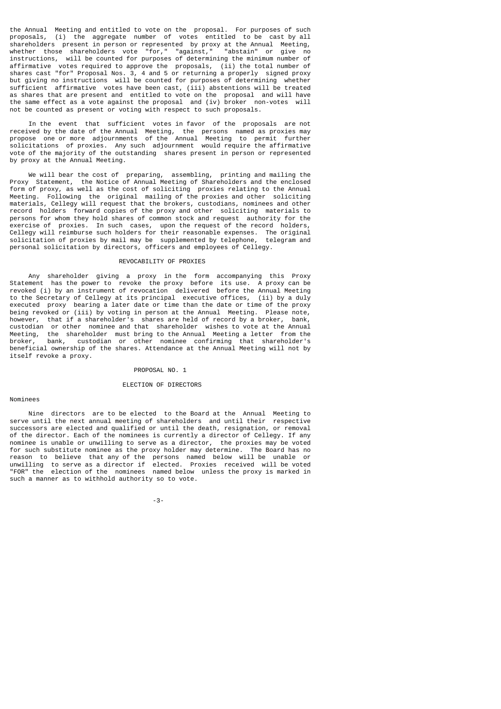the Annual Meeting and entitled to vote on the proposal. For purposes of such proposals, (i) the aggregate number of votes entitled to be cast by all shareholders present in person or represented by proxy at the Annual Meeting, whether those shareholders vote "for," "against," "abstain" or give no instructions, will be counted for purposes of determining the minimum number of affirmative votes required to approve the proposals, (ii) the total number of shares cast "for" Proposal Nos. 3, 4 and 5 or returning a properly signed proxy but giving no instructions will be counted for purposes of determining whether sufficient affirmative votes have been cast, (iii) abstentions will be treated as shares that are present and entitled to vote on the proposal and will have the same effect as a vote against the proposal and (iv) broker non-votes will not be counted as present or voting with respect to such proposals.

 In the event that sufficient votes in favor of the proposals are not received by the date of the Annual Meeting, the persons named as proxies may propose one or more adjournments of the Annual Meeting to permit further solicitations of proxies. Any such adjournment would require the affirmative vote of the majority of the outstanding shares present in person or represented by proxy at the Annual Meeting.

 We will bear the cost of preparing, assembling, printing and mailing the Proxy Statement, the Notice of Annual Meeting of Shareholders and the enclosed form of proxy, as well as the cost of soliciting proxies relating to the Annual Meeting. Following the original mailing of the proxies and other soliciting materials, Cellegy will request that the brokers, custodians, nominees and other record holders forward copies of the proxy and other soliciting materials to persons for whom they hold shares of common stock and request authority for the exercise of proxies. In such cases, upon the request of the record holders, Cellegy will reimburse such holders for their reasonable expenses. The original solicitation of proxies by mail may be supplemented by telephone, telegram and personal solicitation by directors, officers and employees of Cellegy.

## REVOCABILITY OF PROXIES

 Any shareholder giving a proxy in the form accompanying this Proxy Statement has the power to revoke the proxy before its use. A proxy can be revoked (i) by an instrument of revocation delivered before the Annual Meeting to the Secretary of Cellegy at its principal executive offices, (ii) by a duly executed proxy bearing a later date or time than the date or time of the proxy being revoked or (iii) by voting in person at the Annual Meeting. Please note, however, that if a shareholder's shares are held of record by a broker, bank, custodian or other nominee and that shareholder wishes to vote at the Annual Meeting, the shareholder must bring to the Annual Meeting a letter from the broker, bank, custodian or other nominee confirming that shareholder's beneficial ownership of the shares. Attendance at the Annual Meeting will not by itself revoke a proxy.

#### PROPOSAL NO. 1

## ELECTION OF DIRECTORS

# Nominees

 Nine directors are to be elected to the Board at the Annual Meeting to serve until the next annual meeting of shareholders and until their respective successors are elected and qualified or until the death, resignation, or removal of the director. Each of the nominees is currently a director of Cellegy. If any nominee is unable or unwilling to serve as a director, the proxies may be voted for such substitute nominee as the proxy holder may determine. The Board has no reason to believe that any of the persons named below will be unable or unwilling to serve as a director if elected. Proxies received will be voted "FOR" the election of the nominees named below unless the proxy is marked in such a manner as to withhold authority so to vote.

-3-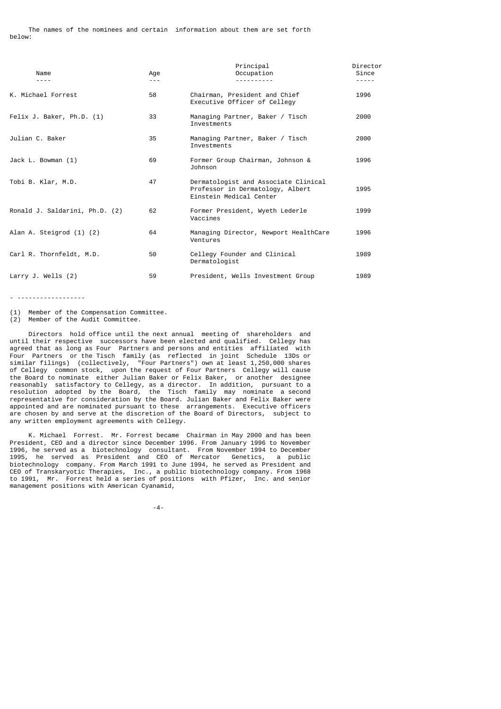| Name                           | Age<br>$- - -$ | Principal<br>Occupation                                                                             | Director<br>Since |
|--------------------------------|----------------|-----------------------------------------------------------------------------------------------------|-------------------|
| K. Michael Forrest             | 58             | Chairman, President and Chief<br>Executive Officer of Cellegy                                       | 1996              |
| Felix J. Baker, Ph.D. (1)      | 33             | Managing Partner, Baker / Tisch<br>Investments                                                      | 2000              |
| Julian C. Baker                | 35             | Managing Partner, Baker / Tisch<br>Investments                                                      | 2000              |
| Jack L. Bowman (1)             | 69             | Former Group Chairman, Johnson &<br>Johnson                                                         | 1996              |
| Tobi B. Klar, M.D.             | 47             | Dermatologist and Associate Clinical<br>Professor in Dermatology, Albert<br>Einstein Medical Center | 1995              |
| Ronald J. Saldarini, Ph.D. (2) | 62             | Former President, Wyeth Lederle<br>Vaccines                                                         | 1999              |
| Alan A. Steigrod (1) (2)       | 64             | Managing Director, Newport HealthCare<br>Ventures                                                   | 1996              |
| Carl R. Thornfeldt, M.D.       | 50             | Cellegy Founder and Clinical<br>Dermatologist                                                       | 1989              |
| Larry J. Wells $(2)$           | 59             | President, Wells Investment Group                                                                   | 1989              |

- ------------------

(1) Member of the Compensation Committee.

(2) Member of the Audit Committee.

 Directors hold office until the next annual meeting of shareholders and until their respective successors have been elected and qualified. Cellegy has agreed that as long as Four Partners and persons and entities affiliated with Four Partners or the Tisch family (as reflected in joint Schedule 13Ds or similar filings) (collectively, "Four Partners") own at least 1,250,000 shares of Cellegy common stock, upon the request of Four Partners Cellegy will cause the Board to nominate either Julian Baker or Felix Baker, or another designee reasonably satisfactory to Cellegy, as a director. In addition, pursuant to a resolution adopted by the Board, the Tisch family may nominate a second representative for consideration by the Board. Julian Baker and Felix Baker were appointed and are nominated pursuant to these arrangements. Executive officers are chosen by and serve at the discretion of the Board of Directors, subject to any written employment agreements with Cellegy.

 K. Michael Forrest. Mr. Forrest became Chairman in May 2000 and has been President, CEO and a director since December 1996. From January 1996 to November 1996, he served as a biotechnology consultant. From November 1994 to December 1995, he served as President and CEO of Mercator Genetics, a public biotechnology company. From March 1991 to June 1994, he served as President and CEO of Transkaryotic Therapies, Inc., a public biotechnology company. From 1968 to 1991, Mr. Forrest held a series of positions with Pfizer, Inc. and senior management positions with American Cyanamid,

-4-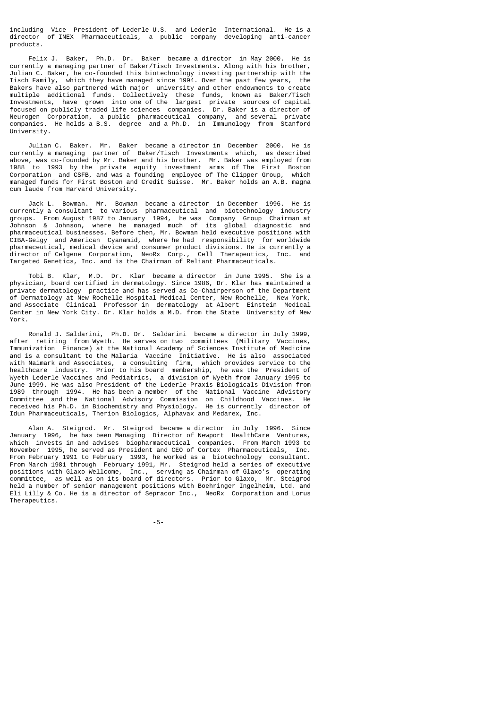including Vice President of Lederle U.S. and Lederle International. He is a director of INEX Pharmaceuticals, a public company developing anti-cancer products.

 Felix J. Baker, Ph.D. Dr. Baker became a director in May 2000. He is currently a managing partner of Baker/Tisch Investments. Along with his brother, Julian C. Baker, he co-founded this biotechnology investing partnership with the Tisch Family, which they have managed since 1994. Over the past few years, the Bakers have also partnered with major university and other endowments to create multiple additional funds. Collectively these funds, known as Baker/Tisch Investments, have grown into one of the largest private sources of capital focused on publicly traded life sciences companies. Dr. Baker is a director of Neurogen Corporation, a public pharmaceutical company, and several private companies. He holds a B.S. degree and a Ph.D. in Immunology from Stanford University.

 Julian C. Baker. Mr. Baker became a director in December 2000. He is currently a managing partner of Baker/Tisch Investments which, as described above, was co-founded by Mr. Baker and his brother. Mr. Baker was employed from 1988 to 1993 by the private equity investment arms of The First Boston Corporation and CSFB, and was a founding employee of The Clipper Group, which managed funds for First Boston and Credit Suisse. Mr. Baker holds an A.B. magna cum laude from Harvard University.

 Jack L. Bowman. Mr. Bowman became a director in December 1996. He is currently a consultant to various pharmaceutical and biotechnology industry groups. From August 1987 to January 1994, he was Company Group Chairman at Johnson & Johnson, where he managed much of its global diagnostic and pharmaceutical businesses. Before then, Mr. Bowman held executive positions with CIBA-Geigy and American Cyanamid, where he had responsibility for worldwide pharmaceutical, medical device and consumer product divisions. He is currently a director of Celgene Corporation, NeoRx Corp., Cell Therapeutics, Inc. and Targeted Genetics, Inc. and is the Chairman of Reliant Pharmaceuticals.

 Tobi B. Klar, M.D. Dr. Klar became a director in June 1995. She is a physician, board certified in dermatology. Since 1986, Dr. Klar has maintained a private dermatology practice and has served as Co-Chairperson of the Department of Dermatology at New Rochelle Hospital Medical Center, New Rochelle, New York, and Associate Clinical Professor in dermatology at Albert Einstein Medical Center in New York City. Dr. Klar holds a M.D. from the State University of New York.

 Ronald J. Saldarini, Ph.D. Dr. Saldarini became a director in July 1999, after retiring from Wyeth. He serves on two committees (Military Vaccines, Immunization Finance) at the National Academy of Sciences Institute of Medicine and is a consultant to the Malaria Vaccine Initiative. He is also associated with Naimark and Associates, a consulting firm, which provides service to the healthcare industry. Prior to his board membership, he was the President of Wyeth Lederle Vaccines and Pediatrics, a division of Wyeth from January 1995 to June 1999. He was also President of the Lederle-Praxis Biologicals Division from 1989 through 1994. He has been a member of the National Vaccine Advistory Committee and the National Advisory Commission on Childhood Vaccines. He received his Ph.D. in Biochemistry and Physiology. He is currently director of Idun Pharmaceuticals, Therion Biologics, Alphavax and Medarex, Inc.

 Alan A. Steigrod. Mr. Steigrod became a director in July 1996. Since January 1996, he has been Managing Director of Newport HealthCare Ventures, which invests in and advises biopharmaceutical companies. From March 1993 to November 1995, he served as President and CEO of Cortex Pharmaceuticals, Inc. From February 1991 to February 1993, he worked as a biotechnology consultant. From March 1981 through February 1991, Mr. Steigrod held a series of executive positions with Glaxo Wellcome, Inc., serving as Chairman of Glaxo's operating committee, as well as on its board of directors. Prior to Glaxo, Mr. Steigrod held a number of senior management positions with Boehringer Ingelheim, Ltd. and Eli Lilly & Co. He is a director of Sepracor Inc., NeoRx Corporation and Lorus Therapeutics.

-5-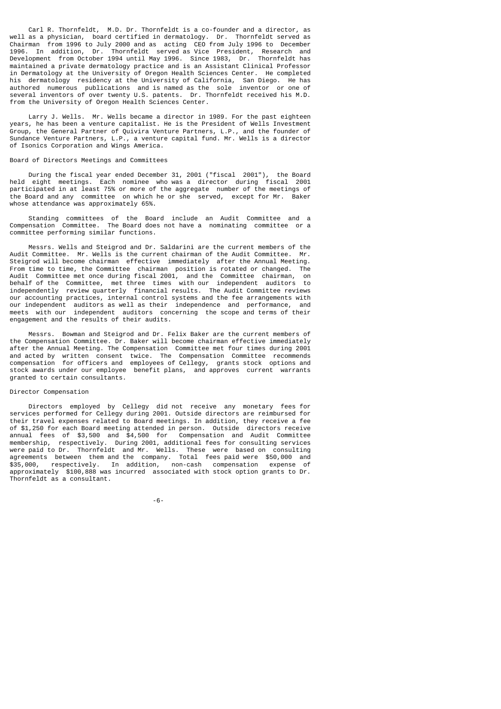Carl R. Thornfeldt, M.D. Dr. Thornfeldt is a co-founder and a director, as well as a physician, board certified in dermatology. Dr. Thornfeldt served as Chairman from 1996 to July 2000 and as acting CEO from July 1996 to December 1996. In addition, Dr. Thornfeldt served as Vice President, Research and Development from October 1994 until May 1996. Since 1983, Dr. Thornfeldt has maintained a private dermatology practice and is an Assistant Clinical Professor in Dermatology at the University of Oregon Health Sciences Center. He completed his dermatology residency at the University of California, San Diego. He has authored numerous publications and is named as the sole inventor or one of several inventors of over twenty U.S. patents. Dr. Thornfeldt received his M.D. from the University of Oregon Health Sciences Center.

 Larry J. Wells. Mr. Wells became a director in 1989. For the past eighteen years, he has been a venture capitalist. He is the President of Wells Investment Group, the General Partner of Quivira Venture Partners, L.P., and the founder of Sundance Venture Partners, L.P., a venture capital fund. Mr. Wells is a director of Isonics Corporation and Wings America.

## Board of Directors Meetings and Committees

 During the fiscal year ended December 31, 2001 ("fiscal 2001"), the Board held eight meetings. Each nominee who was a director during fiscal 2001 participated in at least 75% or more of the aggregate number of the meetings of the Board and any committee on which he or she served, except for Mr. Baker whose attendance was approximately 65%.

 Standing committees of the Board include an Audit Committee and a Compensation Committee. The Board does not have a nominating committee or a committee performing similar functions.

 Messrs. Wells and Steigrod and Dr. Saldarini are the current members of the Audit Committee. Mr. Wells is the current chairman of the Audit Committee. Mr. Steigrod will become chairman effective immediately after the Annual Meeting. From time to time, the Committee chairman position is rotated or changed. The Audit Committee met once during fiscal 2001, and the Committee chairman, on behalf of the Committee, met three times with our independent auditors to behalf of the Committee, met three times with our independent auditors independently review quarterly financial results. The Audit Committee reviews our accounting practices, internal control systems and the fee arrangements with our independent auditors as well as their independence and performance, and meets with our independent auditors concerning the scope and terms of their engagement and the results of their audits.

 Messrs. Bowman and Steigrod and Dr. Felix Baker are the current members of the Compensation Committee. Dr. Baker will become chairman effective immediately after the Annual Meeting. The Compensation Committee met four times during 2001 and acted by written consent twice. The Compensation Committee recommends compensation for officers and employees of Cellegy, grants stock options and stock awards under our employee benefit plans, and approves current warrants granted to certain consultants.

## Director Compensation

 Directors employed by Cellegy did not receive any monetary fees for services performed for Cellegy during 2001. Outside directors are reimbursed for their travel expenses related to Board meetings. In addition, they receive a fee of \$1,250 for each Board meeting attended in person. Outside directors receive annual fees of \$3,500 and \$4,500 for Compensation and Audit Committee membership, respectively. During 2001, additional fees for consulting services were paid to Dr. Thornfeldt and Mr. Wells. These were based on consulting agreements between them and the company. Total fees paid were \$50,000 and \$35,000, respectively. In addition, non-cash compensation expense of approximately \$100,888 was incurred associated with stock option grants to Dr. Thornfeldt as a consultant.

-6-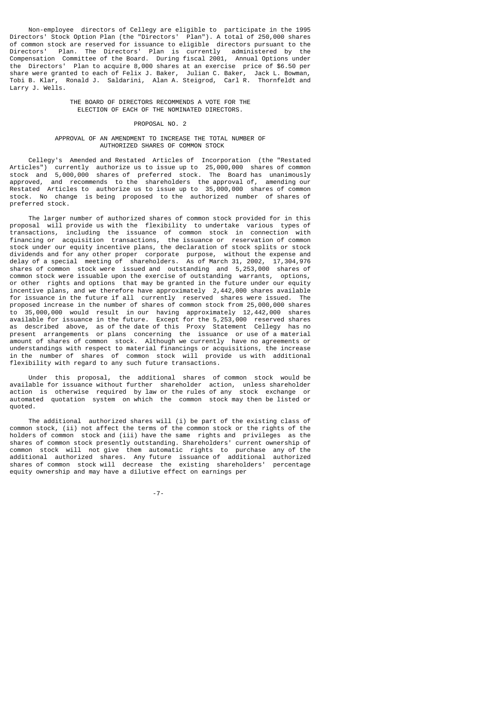Non-employee directors of Cellegy are eligible to participate in the 1995 Directors' Stock Option Plan (the "Directors' Plan"). A total of 250,000 shares of common stock are reserved for issuance to eligible directors pursuant to the Directors' Plan. The Directors' Plan is currently administered by the Compensation Committee of the Board. During fiscal 2001, Annual Options under the Directors' Plan to acquire 8,000 shares at an exercise price of \$6.50 per share were granted to each of Felix J. Baker, Julian C. Baker, Jack L. Bowman, Tobi B. Klar, Ronald J. Saldarini, Alan A. Steigrod, Carl R. Thornfeldt and Larry J. Wells.

> THE BOARD OF DIRECTORS RECOMMENDS A VOTE FOR THE ELECTION OF EACH OF THE NOMINATED DIRECTORS.

# PROPOSAL NO. 2

#### APPROVAL OF AN AMENDMENT TO INCREASE THE TOTAL NUMBER OF AUTHORIZED SHARES OF COMMON STOCK

 Cellegy's Amended and Restated Articles of Incorporation (the "Restated Articles") currently authorize us to issue up to 25,000,000 shares of common stock and 5,000,000 shares of preferred stock. The Board has unanimously approved, and recommends to the shareholders the approval of, amending our Restated Articles to authorize us to issue up to 35,000,000 shares of common stock. No change is being proposed to the authorized number of shares of preferred stock.

 The larger number of authorized shares of common stock provided for in this proposal will provide us with the flexibility to undertake various types of transactions, including the issuance of common stock in connection with financing or acquisition transactions, the issuance or reservation of common stock under our equity incentive plans, the declaration of stock splits or stock dividends and for any other proper corporate purpose, without the expense and delay of a special meeting of shareholders. As of March 31, 2002, 17,304,976 shares of common stock were issued and outstanding and 5,253,000 shares of common stock were issuable upon the exercise of outstanding warrants, options, or other rights and options that may be granted in the future under our equity incentive plans, and we therefore have approximately 2,442,000 shares available for issuance in the future if all currently reserved shares were issued. The proposed increase in the number of shares of common stock from 25,000,000 shares to 35,000,000 would result in our having approximately 12,442,000 shares available for issuance in the future. Except for the 5,253,000 reserved shares as described above, as of the date of this Proxy Statement Cellegy has no present arrangements or plans concerning the issuance or use of a material amount of shares of common stock. Although we currently have no agreements or understandings with respect to material financings or acquisitions, the increase in the number of shares of common stock will provide us with additional flexibility with regard to any such future transactions.

 Under this proposal, the additional shares of common stock would be available for issuance without further shareholder action, unless shareholder action is otherwise required by law or the rules of any stock exchange or automated quotation system on which the common stock may then be listed or quoted.

 The additional authorized shares will (i) be part of the existing class of common stock, (ii) not affect the terms of the common stock or the rights of the holders of common stock and (iii) have the same rights and privileges as the shares of common stock presently outstanding. Shareholders' current ownership of common stock will not give them automatic rights to purchase any of the additional authorized shares. Any future issuance of additional authorized shares of common stock will decrease the existing shareholders' percentage equity ownership and may have a dilutive effect on earnings per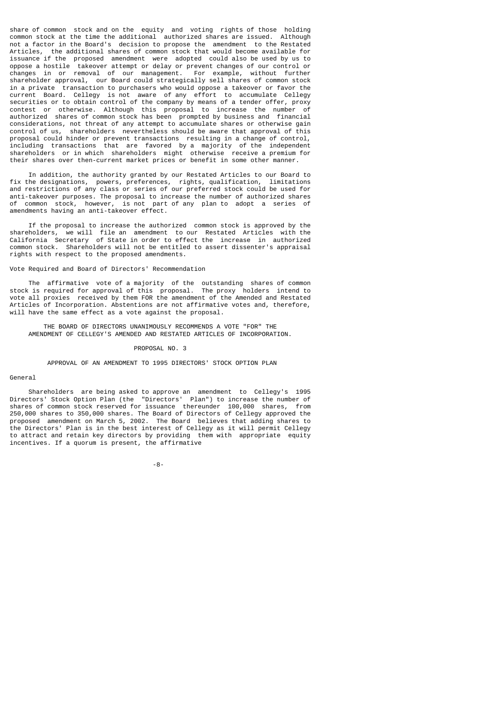share of common stock and on the equity and voting rights of those holding common stock at the time the additional authorized shares are issued. Although not a factor in the Board's decision to propose the amendment to the Restated Articles, the additional shares of common stock that would become available for issuance if the proposed amendment were adopted could also be used by us to oppose a hostile takeover attempt or delay or prevent changes of our control or changes in or removal of our management. For example, without further shareholder approval, our Board could strategically sell shares of common stock in a private transaction to purchasers who would oppose a takeover or favor the current Board. Cellegy is not aware of any effort to accumulate Cellegy securities or to obtain control of the company by means of a tender offer, proxy contest or otherwise. Although this proposal to increase the number of authorized shares of common stock has been prompted by business and financial considerations, not threat of any attempt to accumulate shares or otherwise gain control of us, shareholders nevertheless should be aware that approval of this proposal could hinder or prevent transactions resulting in a change of control, including transactions that are favored by a majority of the independent shareholders or in which shareholders might otherwise receive a premium for their shares over then-current market prices or benefit in some other manner.

 In addition, the authority granted by our Restated Articles to our Board to fix the designations, powers, preferences, rights, qualification, limitations and restrictions of any class or series of our preferred stock could be used for anti-takeover purposes. The proposal to increase the number of authorized shares of common stock, however, is not part of any plan to adopt a series of amendments having an anti-takeover effect.

 If the proposal to increase the authorized common stock is approved by the shareholders, we will file an amendment to our Restated Articles with the California Secretary of State in order to effect the increase in authorized common stock. Shareholders will not be entitled to assert dissenter's appraisal rights with respect to the proposed amendments.

## Vote Required and Board of Directors' Recommendation

 The affirmative vote of a majority of the outstanding shares of common stock is required for approval of this proposal. The proxy holders intend to vote all proxies received by them FOR the amendment of the Amended and Restated Articles of Incorporation. Abstentions are not affirmative votes and, therefore, will have the same effect as a vote against the proposal.

 THE BOARD OF DIRECTORS UNANIMOUSLY RECOMMENDS A VOTE "FOR" THE AMENDMENT OF CELLEGY'S AMENDED AND RESTATED ARTICLES OF INCORPORATION.

### PROPOSAL NO. 3

APPROVAL OF AN AMENDMENT TO 1995 DIRECTORS' STOCK OPTION PLAN

#### General

 Shareholders are being asked to approve an amendment to Cellegy's 1995 Directors' Stock Option Plan (the "Directors' Plan") to increase the number of shares of common stock reserved for issuance thereunder 100,000 shares, from 250,000 shares to 350,000 shares. The Board of Directors of Cellegy approved the proposed amendment on March 5, 2002. The Board believes that adding shares to the Directors' Plan is in the best interest of Cellegy as it will permit Cellegy to attract and retain key directors by providing them with appropriate equity incentives. If a quorum is present, the affirmative

-8-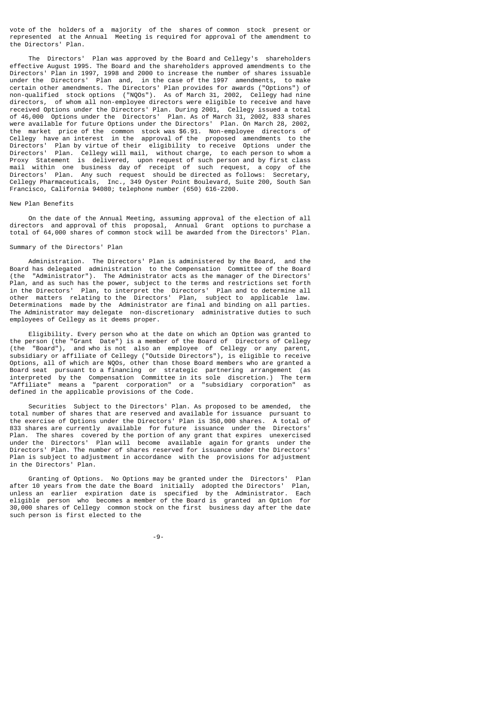vote of the holders of a majority of the shares of common stock present or represented at the Annual Meeting is required for approval of the amendment to the Directors' Plan.

 The Directors' Plan was approved by the Board and Cellegy's shareholders effective August 1995. The Board and the shareholders approved amendments to the Directors' Plan in 1997, 1998 and 2000 to increase the number of shares issuable<br>under the Directors' Plan and, in the case of the 1997 amendments, to make under the Directors' Plan and, in the case of the 1997 amendments, certain other amendments. The Directors' Plan provides for awards ("Options") of non-qualified stock options ("NQOs"). As of March 31, 2002, Cellegy had nine directors, of whom all non-employee directors were eligible to receive and have received Options under the Directors' Plan. During 2001, Cellegy issued a total of 46,000 Options under the Directors' Plan. As of March 31, 2002, 833 shares were available for future Options under the Directors' Plan. On March 28, 2002, the market price of the common stock was \$6.91. Non-employee directors of Cellegy have an interest in the approval of the proposed amendments to the Directors' Plan by virtue of their eligibility to receive Options under the Directors' Plan. Cellegy will mail, without charge, to each person to whom a Proxy Statement is delivered, upon request of such person and by first class mail within one business day of receipt of such request, a copy of the Directors' Plan. Any such request should be directed as follows: Secretary, Cellegy Pharmaceuticals, Inc., 349 Oyster Point Boulevard, Suite 200, South San Francisco, California 94080; telephone number (650) 616-2200.

## New Plan Benefits

 On the date of the Annual Meeting, assuming approval of the election of all directors and approval of this proposal, Annual Grant options to purchase a total of 64,000 shares of common stock will be awarded from the Directors' Plan.

### Summary of the Directors' Plan

 Administration. The Directors' Plan is administered by the Board, and the Board has delegated administration to the Compensation Committee of the Board (the "Administrator"). The Administrator acts as the manager of the Directors' Plan, and as such has the power, subject to the terms and restrictions set forth in the Directors' Plan, to interpret the Directors' Plan and to determine all other matters relating to the Directors' Plan, subject to applicable law. Determinations made by the Administrator are final and binding on all parties. The Administrator may delegate non-discretionary administrative duties to such employees of Cellegy as it deems proper.

 Eligibility. Every person who at the date on which an Option was granted to the person (the "Grant Date") is a member of the Board of Directors of Cellegy (the "Board"), and who is not also an employee of Cellegy or any parent, subsidiary or affiliate of Cellegy ("Outside Directors"), is eligible to receive Options, all of which are NQOs, other than those Board members who are granted a Board seat pursuant to a financing or strategic partnering arrangement (as interpreted by the Compensation Committee in its sole discretion.) The term "Affiliate" means a "parent corporation" or a "subsidiary corporation" as defined in the applicable provisions of the Code.

 Securities Subject to the Directors' Plan. As proposed to be amended, the total number of shares that are reserved and available for issuance pursuant to the exercise of Options under the Directors' Plan is 350,000 shares. 833 shares are currently available for future issuance under the Directors'<br>Plan. The shares covered by the portion of any grant that expires unexercised The shares covered by the portion of any grant that expires unexercised under the Directors' Plan will become available again for grants under the Directors' Plan. The number of shares reserved for issuance under the Directors' Plan is subject to adjustment in accordance with the provisions for adjustment in the Directors' Plan.

 Granting of Options. No Options may be granted under the Directors' Plan after 10 years from the date the Board initially adopted the Directors' Plan, unless an earlier expiration date is specified by the Administrator. Each eligible person who becomes a member of the Board is granted an Option for 30,000 shares of Cellegy common stock on the first business day after the date such person is first elected to the

-9-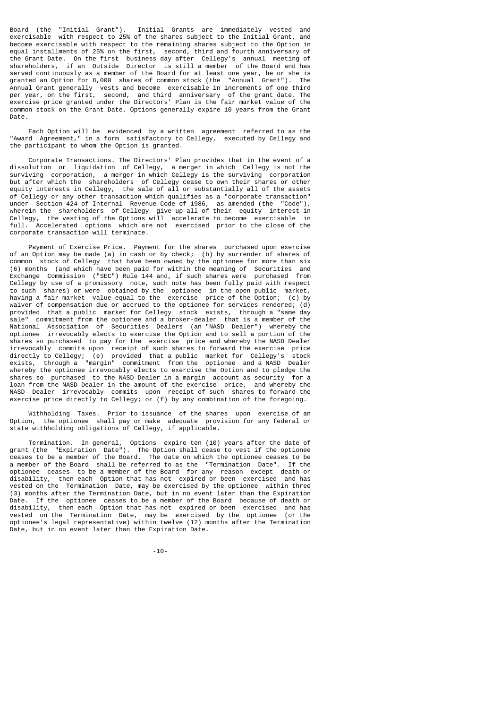Board (the "Initial Grant"). Initial Grants are immediately vested and exercisable with respect to 25% of the shares subject to the Initial Grant, and become exercisable with respect to the remaining shares subject to the Option in equal installments of 25% on the first, second, third and fourth anniversary of the Grant Date. On the first business day after Cellegy's annual meeting of shareholders, if an Outside Director is still a member of the Board and has served continuously as a member of the Board for at least one year, he or she is granted an Option for 8,000 shares of common stock (the "Annual Grant"). Annual Grant generally vests and become exercisable in increments of one third per year, on the first, second, and third anniversary of the grant date. The exercise price granted under the Directors' Plan is the fair market value of the common stock on the Grant Date. Options generally expire 10 years from the Grant Date.

 Each Option will be evidenced by a written agreement referred to as the "Award Agreement," in a form satisfactory to Cellegy, executed by Cellegy and the participant to whom the Option is granted.

 Corporate Transactions. The Directors' Plan provides that in the event of a dissolution or liquidation of Cellegy, a merger in which Cellegy is not the surviving corporation, a merger in which Cellegy is the surviving corporation but after which the shareholders of Cellegy cease to own their shares or other equity interests in Cellegy, the sale of all or substantially all of the assets of Cellegy or any other transaction which qualifies as a "corporate transaction" under Section 424 of Internal Revenue Code of 1986, as amended (the "Code"), wherein the shareholders of Cellegy give up all of their equity interest in Cellegy, the vesting of the Options will accelerate to become exercisable in full. Accelerated options which are not exercised prior to the close of the corporate transaction will terminate.

 Payment of Exercise Price. Payment for the shares purchased upon exercise of an Option may be made (a) in cash or by check; (b) by surrender of shares of common stock of Cellegy that have been owned by the optionee for more than six (6) months (and which have been paid for within the meaning of Securities and Exchange Commission ("SEC") Rule 144 and, if such shares were purchased from Cellegy by use of a promissory note, such note has been fully paid with respect to such shares) or were obtained by the optionee in the open public market, having a fair market value equal to the exercise price of the Option; (c) by waiver of compensation due or accrued to the optionee for services rendered; (d) provided that a public market for Cellegy stock exists, through a "same day sale" commitment from the optionee and a broker-dealer that is a member of the National Association of Securities Dealers (an "NASD Dealer") whereby the optionee irrevocably elects to exercise the Option and to sell a portion of the shares so purchased to pay for the exercise price and whereby the NASD Dealer irrevocably commits upon receipt of such shares to forward the exercise price directly to Cellegy; (e) provided that a public market for Cellegy's stock exists, through a "margin" commitment from the optionee and a NASD Dealer whereby the optionee irrevocably elects to exercise the Option and to pledge the shares so purchased to the NASD Dealer in a margin account as security for a loan from the NASD Dealer in the amount of the exercise price, and whereby the NASD Dealer irrevocably commits upon receipt of such shares to forward the exercise price directly to Cellegy; or (f) by any combination of the foregoing.

 Withholding Taxes. Prior to issuance of the shares upon exercise of an Option, the optionee shall pay or make adequate provision for any federal or state withholding obligations of Cellegy, if applicable.

 Termination. In general, Options expire ten (10) years after the date of grant (the "Expiration Date"). The Option shall cease to vest if the optionee ceases to be a member of the Board. The date on which the optionee ceases to be a member of the Board shall be referred to as the "Termination Date". If the optionee ceases to be a member of the Board for any reason except death or disability, then each Option that has not expired or been exercised and has vested on the Termination Date, may be exercised by the optionee within three (3) months after the Termination Date, but in no event later than the Expiration Date. If the optionee ceases to be a member of the Board because of death or disability, then each Option that has not expired or been exercised and has vested on the Termination Date, may be exercised by the optionee (or the optionee's legal representative) within twelve (12) months after the Termination Date, but in no event later than the Expiration Date.

-10-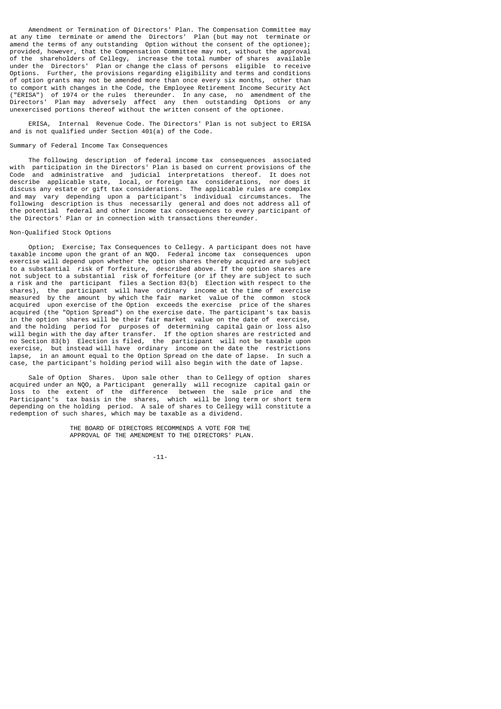Amendment or Termination of Directors' Plan. The Compensation Committee may at any time terminate or amend the Directors' Plan (but may not terminate or amend the terms of any outstanding Option without the consent of the optionee); provided, however, that the Compensation Committee may not, without the approval of the shareholders of Cellegy, increase the total number of shares available under the Directors' Plan or change the class of persons eligible to receive Options. Further, the provisions regarding eligibility and terms and conditions of option grants may not be amended more than once every six months, other than to comport with changes in the Code, the Employee Retirement Income Security Act ("ERISA") of 1974 or the rules thereunder. In any case, no amendment of the Directors' Plan may adversely affect any then outstanding Options or any unexercised portions thereof without the written consent of the optionee.

 ERISA, Internal Revenue Code. The Directors' Plan is not subject to ERISA and is not qualified under Section 401(a) of the Code.

## Summary of Federal Income Tax Consequences

 The following description of federal income tax consequences associated with participation in the Directors' Plan is based on current provisions of the Code and administrative and judicial interpretations thereof. It does not describe applicable state, local, or foreign tax considerations, nor does it discuss any estate or gift tax considerations. The applicable rules are complex and may vary depending upon a participant's individual circumstances. The following description is thus necessarily general and does not address all of the potential federal and other income tax consequences to every participant of the Directors' Plan or in connection with transactions thereunder.

### Non-Qualified Stock Options

 Option; Exercise; Tax Consequences to Cellegy. A participant does not have taxable income upon the grant of an NQO. Federal income tax consequences upon exercise will depend upon whether the option shares thereby acquired are subject to a substantial risk of forfeiture, described above. If the option shares are not subject to a substantial risk of forfeiture (or if they are subject to such a risk and the participant files a Section 83(b) Election with respect to the shares), the participant will have ordinary income at the time of exercise measured by the amount by which the fair market value of the common stock acquired upon exercise of the Option exceeds the exercise price of the shares acquired (the "Option Spread") on the exercise date. The participant's tax basis in the option shares will be their fair market value on the date of exercise, and the holding period for purposes of determining capital gain or loss also will begin with the day after transfer. If the option shares are restricted and no Section 83(b) Election is filed, the participant will not be taxable upon exercise, but instead will have ordinary income on the date the restrictions lapse, in an amount equal to the Option Spread on the date of lapse. In such a case, the participant's holding period will also begin with the date of lapse.

 Sale of Option Shares. Upon sale other than to Cellegy of option shares acquired under an NQO, a Participant generally will recognize capital gain or loss to the extent of the difference between the sale price and the Participant's tax basis in the shares, which will be long term or short term depending on the holding period. A sale of shares to Cellegy will constitute a redemption of such shares, which may be taxable as a dividend.

> THE BOARD OF DIRECTORS RECOMMENDS A VOTE FOR THE APPROVAL OF THE AMENDMENT TO THE DIRECTORS' PLAN.

-11-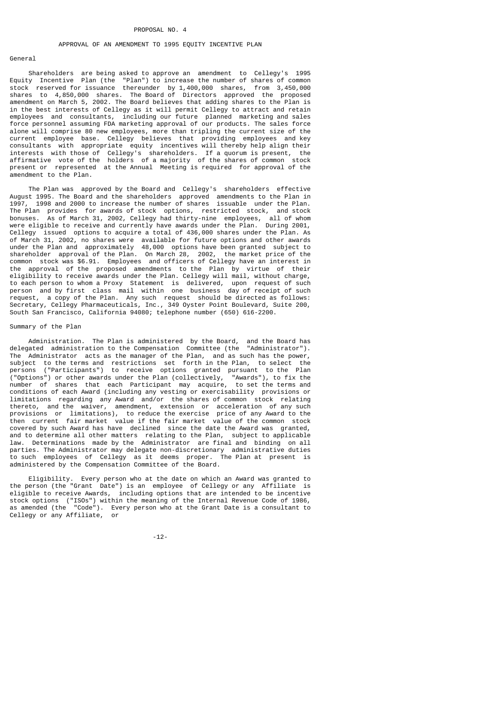## PROPOSAL NO. 4

# APPROVAL OF AN AMENDMENT TO 1995 EQUITY INCENTIVE PLAN

## General

 Shareholders are being asked to approve an amendment to Cellegy's 1995 Equity Incentive Plan (the "Plan") to increase the number of shares of common stock reserved for issuance thereunder by 1,400,000 shares, from 3,450,000 shares to 4,850,000 shares. The Board of Directors approved the proposed amendment on March 5, 2002. The Board believes that adding shares to the Plan is in the best interests of Cellegy as it will permit Cellegy to attract and retain employees and consultants, including our future planned marketing and sales force personnel assuming FDA marketing approval of our products. The sales force alone will comprise 80 new employees, more than tripling the current size of the current employee base. Cellegy believes that providing employees and key consultants with appropriate equity incentives will thereby help align their interests with those of Cellegy's shareholders. If a quorum is present, the infinitional state in holders of a majority of the shares of common stock affirmative vote of the holders of a majority of the shares of common present or represented at the Annual Meeting is required for approval of the amendment to the Plan.

 The Plan was approved by the Board and Cellegy's shareholders effective August 1995. The Board and the shareholders approved amendments to the Plan in<br>1997, 1998 and 2000 to increase the number of shares, issuable, under the Plan. 1998 and 2000 to increase the number of shares issuable under the Plan. The Plan provides for awards of stock options, restricted stock, and stock bonuses. As of March 31, 2002, Cellegy had thirty-nine employees, all of whom were eligible to receive and currently have awards under the Plan. During 2001, Cellegy issued options to acquire a total of 436,000 shares under the Plan. As of March 31, 2002, no shares were available for future options and other awards under the Plan and approximately 48,000 options have been granted subject to shareholder approval of the Plan. On March 28, 2002, the market price of the common stock was \$6.91. Employees and officers of Cellegy have an interest in the approval of the proposed amendments to the Plan by virtue of their eligibility to receive awards under the Plan. Cellegy will mail, without charge, to each person to whom a Proxy Statement is delivered, upon request of such person and by first class mail within one business day of receipt of such request, a copy of the Plan. Any such request should be directed as follows: Secretary, Cellegy Pharmaceuticals, Inc., 349 Oyster Point Boulevard, Suite 200, South San Francisco, California 94080; telephone number (650) 616-2200.

# Summary of the Plan

 Administration. The Plan is administered by the Board, and the Board has delegated administration to the Compensation Committee (the "Administrator"). The Administrator acts as the manager of the Plan, and as such has the power, subject to the terms and restrictions set forth in the Plan, to select the persons ("Participants") to receive options granted pursuant to the Plan ("Options") or other awards under the Plan (collectively, "Awards"), to fix the number of shares that each Participant may acquire, to set the terms and conditions of each Award (including any vesting or exercisability provisions or limitations regarding any Award and/or the shares of common stock relating thereto, and the waiver, amendment, extension or acceleration of any such provisions or limitations), to reduce the exercise price of any Award to the then current fair market value if the fair market value of the common stock covered by such Award has have declined since the date the Award was granted, and to determine all other matters relating to the Plan, subject to applicable law. Determinations made by the Administrator are final and binding on all parties. The Administrator may delegate non-discretionary administrative duties to such employees of Cellegy as it deems proper. The Plan at present is administered by the Compensation Committee of the Board.

 Eligibility. Every person who at the date on which an Award was granted to the person (the "Grant Date") is an employee of Cellegy or any Affiliate is eligible to receive Awards, including options that are intended to be incentive stock options ("ISOs") within the meaning of the Internal Revenue Code of 1986, as amended (the "Code"). Every person who at the Grant Date is a consultant to Cellegy or any Affiliate, or

-12-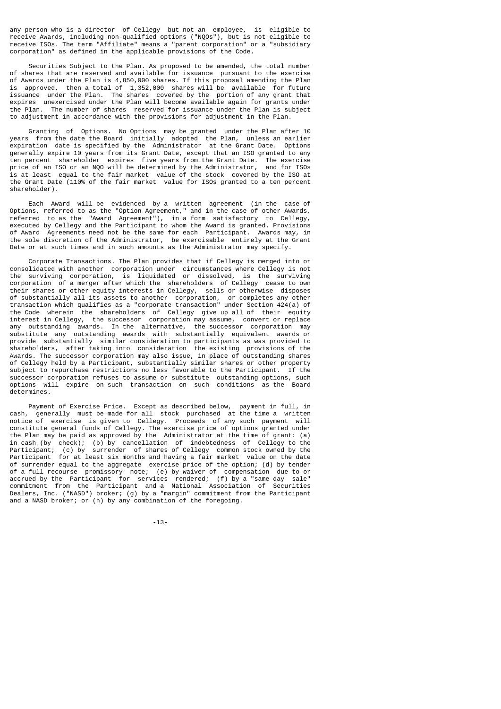any person who is a director of Cellegy but not an employee, is eligible to receive Awards, including non-qualified options ("NQOs"), but is not eligible to receive ISOs. The term "Affiliate" means a "parent corporation" or a "subsidiary corporation" as defined in the applicable provisions of the Code.

 Securities Subject to the Plan. As proposed to be amended, the total number of shares that are reserved and available for issuance pursuant to the exercise of Awards under the Plan is 4,850,000 shares. If this proposal amending the Plan is approved, then a total of 1,352,000 shares will be available for future issuance under the Plan. The shares covered by the portion of any grant that expires unexercised under the Plan will become available again for grants under the Plan. The number of shares reserved for issuance under the Plan is subject to adjustment in accordance with the provisions for adjustment in the Plan.

 Granting of Options. No Options may be granted under the Plan after 10 years from the date the Board initially adopted the Plan, unless an earlier expiration date is specified by the Administrator at the Grant Date. Options generally expire 10 years from its Grant Date, except that an ISO granted to any generally explice to years from the Summer share, shoopt the Grant Date. The exercise<br>ten percent shareholder expires five years from the Grant Date. The exercise price of an ISO or an NQO will be determined by the Administrator, and for ISOs is at least equal to the fair market value of the stock covered by the ISO at the Grant Date (110% of the fair market value for ISOs granted to a ten percent shareholder).

 Each Award will be evidenced by a written agreement (in the case of Options, referred to as the "Option Agreement," and in the case of other Awards, referred to as the "Award Agreement"), in a form satisfactory to Cellegy, executed by Cellegy and the Participant to whom the Award is granted. Provisions of Award Agreements need not be the same for each Participant. Awards may, in the sole discretion of the Administrator, be exercisable entirely at the Grant Date or at such times and in such amounts as the Administrator may specify.

 Corporate Transactions. The Plan provides that if Cellegy is merged into or consolidated with another corporation under circumstances where Cellegy is not the surviving corporation, is liquidated or dissolved, is the surviving corporation of a merger after which the shareholders of Cellegy cease to own their shares or other equity interests in Cellegy, sells or otherwise disposes of substantially all its assets to another corporation, or completes any other transaction which qualifies as a "corporate transaction" under Section 424(a) of the Code wherein the shareholders of Cellegy give up all of their equity interest in Cellegy, the successor corporation may assume, convert or replace any outstanding awards. In the alternative, the successor corporation may substitute any outstanding awards with substantially equivalent awards or provide substantially similar consideration to participants as was provided to shareholders, after taking into consideration the existing provisions of the Awards. The successor corporation may also issue, in place of outstanding shares of Cellegy held by a Participant, substantially similar shares or other property subject to repurchase restrictions no less favorable to the Participant. If the successor corporation refuses to assume or substitute outstanding options, such options will expire on such transaction on such conditions as the Board determines.

 Payment of Exercise Price. Except as described below, payment in full, in cash, generally must be made for all stock purchased at the time a written notice of exercise is given to Cellegy. Proceeds of any such payment will constitute general funds of Cellegy. The exercise price of options granted under the Plan may be paid as approved by the Administrator at the time of grant: (a) in cash (by check); (b) by cancellation of indebtedness of Cellegy to the Participant; (c) by surrender of shares of Cellegy common stock owned by the Participant for at least six months and having a fair market value on the date of surrender equal to the aggregate exercise price of the option; (d) by tender of a full recourse promissory note; (e) by waiver of compensation due to or accrued by the Participant for services rendered; (f) by a "same-day sale" commitment from the Participant and a National Association of Securities Dealers, Inc. ("NASD") broker; (g) by a "margin" commitment from the Participant and a NASD broker; or (h) by any combination of the foregoing.

-13-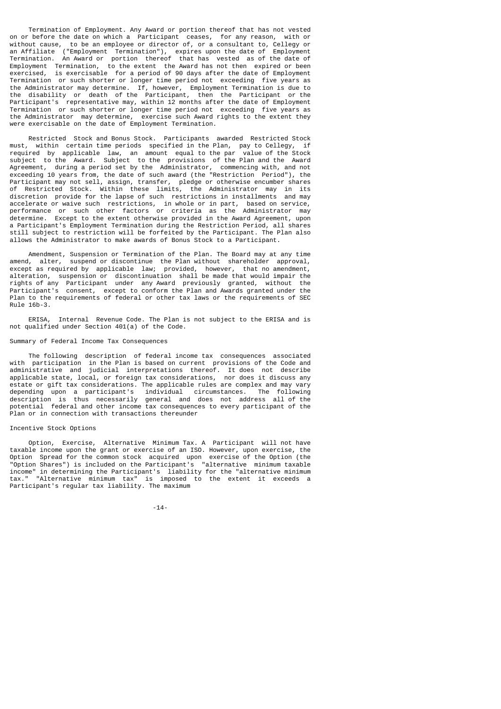Termination of Employment. Any Award or portion thereof that has not vested on or before the date on which a Participant ceases, for any reason, with or without cause, to be an employee or director of, or a consultant to, Cellegy or an Affiliate ("Employment Termination"), expires upon the date of Employment Termination. An Award or portion thereof that has vested as of the date of Employment Termination, to the extent the Award has not then expired or been exercised, is exercisable for a period of 90 days after the date of Employment Termination or such shorter or longer time period not exceeding five years as the Administrator may determine. If, however, Employment Termination is due to the disability or death of the Participant, then the Participant or the Participant's representative may, within 12 months after the date of Employment Termination or such shorter or longer time period not exceeding five years as the Administrator may determine, exercise such Award rights to the extent they were exercisable on the date of Employment Termination.

 Restricted Stock and Bonus Stock. Participants awarded Restricted Stock must, within certain time periods specified in the Plan, pay to Cellegy, if required by applicable law, an amount equal to the par value of the Stock subject to the Award. Subject to the provisions of the Plan and the Award Agreement, during a period set by the Administrator, commencing with, and not exceeding 10 years from, the date of such award (the "Restriction Period"), the Participant may not sell, assign, transfer, pledge or otherwise encumber shares<br>of Restricted Stock, Within these limits, the Administrator may in its Restricted Stock. Within these limits, the Administrator may in its discretion provide for the lapse of such restrictions in installments and may accelerate or waive such restrictions, in whole or in part, based on service, performance or such other factors or criteria as the Administrator may determine. Except to the extent otherwise provided in the Award Agreement, upon a Participant's Employment Termination during the Restriction Period, all shares still subject to restriction will be forfeited by the Participant. The Plan also allows the Administrator to make awards of Bonus Stock to a Participant.

 Amendment, Suspension or Termination of the Plan. The Board may at any time amend, alter, suspend or discontinue the Plan without shareholder approval, except as required by applicable law; provided, however, that no amendment, alteration, suspension or discontinuation shall be made that would impair the rights of any Participant under any Award previously granted, without the Participant's consent, except to conform the Plan and Awards granted under the Plan to the requirements of federal or other tax laws or the requirements of SEC Rule 16b-3.

 ERISA, Internal Revenue Code. The Plan is not subject to the ERISA and is not qualified under Section 401(a) of the Code.

## Summary of Federal Income Tax Consequences

 The following description of federal income tax consequences associated with participation in the Plan is based on current provisions of the Code and administrative and judicial interpretations thereof. It does not describe applicable state, local, or foreign tax considerations, nor does it discuss any estate or gift tax considerations. The applicable rules are complex and may vary depending upon a participant's individual circumstances. The following description is thus necessarily general and does not address all of the potential federal and other income tax consequences to every participant of the Plan or in connection with transactions thereunder

# Incentive Stock Options

 Option, Exercise, Alternative Minimum Tax. A Participant will not have taxable income upon the grant or exercise of an ISO. However, upon exercise, the Option Spread for the common stock acquired upon exercise of the Option (the "Option Shares") is included on the Participant's "alternative minimum taxable income" in determining the Participant's liability for the "alternative minimum tax." "Alternative minimum tax" is imposed to the extent it exceeds a Participant's regular tax liability. The maximum

-14-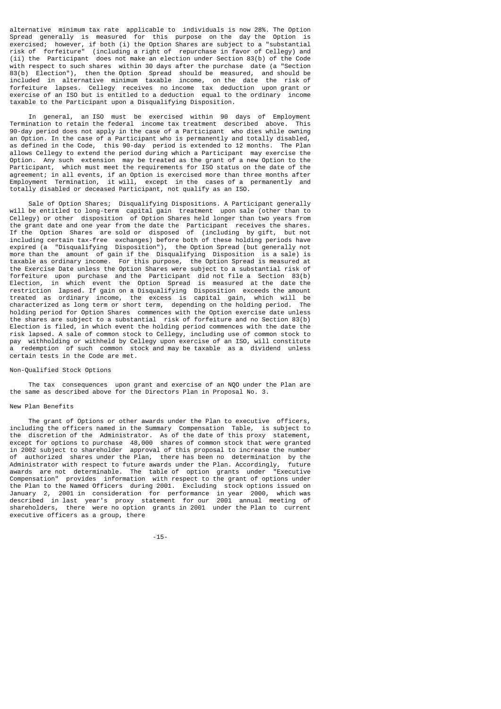alternative minimum tax rate applicable to individuals is now 28%. The Option Spread generally is measured for this purpose on the day the Option is exercised; however, if both (i) the Option Shares are subject to a "substantial risk of forfeiture" (including a right of repurchase in favor of Cellegy) and (ii) the Participant does not make an election under Section 83(b) of the Code with respect to such shares within 30 days after the purchase date (a "Section 83(b) Election"), then the Option Spread should be measured, and should be included in alternative minimum taxable income, on the date the risk of forfeiture lapses. Cellegy receives no income tax deduction upon grant or exercise of an ISO but is entitled to a deduction equal to the ordinary income taxable to the Participant upon a Disqualifying Disposition.

 In general, an ISO must be exercised within 90 days of Employment Termination to retain the federal income tax treatment described above. This 90-day period does not apply in the case of a Participant who dies while owning an Option. In the case of a Participant who is permanently and totally disabled, as defined in the Code, this 90-day period is extended to 12 months. The Plan allows Cellegy to extend the period during which a Participant may exercise the Option. Any such extension may be treated as the grant of a new Option to the Participant, which must meet the requirements for ISO status on the date of the agreement; in all events, if an Option is exercised more than three months after Employment Termination, it will, except in the cases of a permanently and totally disabled or deceased Participant, not qualify as an ISO.

 Sale of Option Shares; Disqualifying Dispositions. A Participant generally will be entitled to long-term capital gain treatment upon sale (other than to Cellegy) or other disposition of Option Shares held longer than two years from the grant date and one year from the date the Participant receives the shares. If the Option Shares are sold or disposed of (including by gift, but not including certain tax-free exchanges) before both of these holding periods have expired (a "Disqualifying Disposition"), the Option Spread (but generally not more than the amount of gain if the Disqualifying Disposition is a sale) is taxable as ordinary income. For this purpose, the Option Spread is measured at the Exercise Date unless the Option Shares were subject to a substantial risk of forfeiture upon purchase and the Participant did not file a Section 83(b) Election, in which event the Option Spread is measured at the date the restriction lapsed. If gain on a Disqualifying Disposition exceeds the amount treated as ordinary income, the excess is capital gain, which will be characterized as long term or short term, depending on the holding period. The holding period for Option Shares commences with the Option exercise date unless the shares are subject to a substantial risk of forfeiture and no Section 83(b) Election is filed, in which event the holding period commences with the date the risk lapsed. A sale of common stock to Cellegy, including use of common stock to pay withholding or withheld by Cellegy upon exercise of an ISO, will constitute a redemption of such common stock and may be taxable as a dividend unless certain tests in the Code are met.

### Non-Qualified Stock Options

 The tax consequences upon grant and exercise of an NQO under the Plan are the same as described above for the Directors Plan in Proposal No. 3.

#### New Plan Benefits

 The grant of Options or other awards under the Plan to executive officers, including the officers named in the Summary Compensation Table, is subject to the discretion of the Administrator. As of the date of this proxy statement, except for options to purchase 48,000 shares of common stock that were granted in 2002 subject to shareholder approval of this proposal to increase the number of authorized shares under the Plan, there has been no determination by the Administrator with respect to future awards under the Plan. Accordingly, future awards are not determinable. The table of option grants under "Executive Compensation" provides information with respect to the grant of options under the Plan to the Named Officers during 2001. Excluding stock options issued on January 2, 2001 in consideration for performance in year 2000, which was described in last year's proxy statement for our 2001 annual meeting of shareholders, there were no option grants in 2001 under the Plan to current executive officers as a group, there

-15-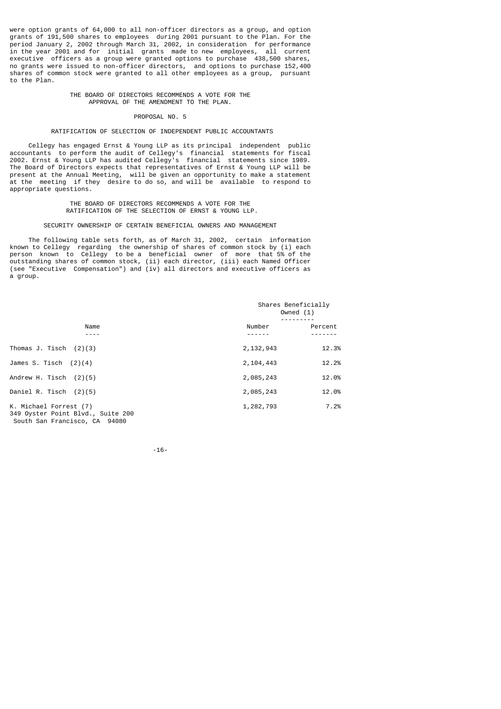were option grants of 64,000 to all non-officer directors as a group, and option grants of 191,500 shares to employees during 2001 pursuant to the Plan. For the period January 2, 2002 through March 31, 2002, in consideration for performance in the year 2001 and for initial grants made to new employees, all current executive officers as a group were granted options to purchase 438,500 shares, no grants were issued to non-officer directors, and options to purchase 152,400 shares of common stock were granted to all other employees as a group, pursuant to the Plan.

### THE BOARD OF DIRECTORS RECOMMENDS A VOTE FOR THE APPROVAL OF THE AMENDMENT TO THE PLAN.

# PROPOSAL NO. 5

# RATIFICATION OF SELECTION OF INDEPENDENT PUBLIC ACCOUNTANTS

 Cellegy has engaged Ernst & Young LLP as its principal independent public accountants to perform the audit of Cellegy's financial statements for fiscal 2002. Ernst & Young LLP has audited Cellegy's financial statements since 1989. The Board of Directors expects that representatives of Ernst & Young LLP will be present at the Annual Meeting, will be given an opportunity to make a statement at the meeting if they desire to do so, and will be available to respond to appropriate questions.

## THE BOARD OF DIRECTORS RECOMMENDS A VOTE FOR THE RATIFICATION OF THE SELECTION OF ERNST & YOUNG LLP.

## SECURITY OWNERSHIP OF CERTAIN BENEFICIAL OWNERS AND MANAGEMENT

 The following table sets forth, as of March 31, 2002, certain information known to Cellegy regarding the ownership of shares of common stock by (i) each person known to Cellegy to be a beneficial owner of more that 5% of the outstanding shares of common stock, (ii) each director, (iii) each Named Officer (see "Executive Compensation") and (iv) all directors and executive officers as a group.

|                                                             | Shares Beneficially<br>Owned $(1)$ |         |  |
|-------------------------------------------------------------|------------------------------------|---------|--|
| Name                                                        | Number                             | Percent |  |
| Thomas J. Tisch $(2)(3)$                                    | 2, 132, 943                        | 12.3%   |  |
| James S. Tisch $(2)(4)$                                     | 2, 104, 443                        | 12.2%   |  |
| Andrew H. Tisch $(2)(5)$                                    | 2,085,243                          | 12.0%   |  |
| Daniel R. Tisch $(2)(5)$                                    | 2,085,243                          | 12.0%   |  |
| K. Michael Forrest (7)<br>349 Oyster Point Blvd., Suite 200 | 1,282,793                          | 7.2%    |  |

-16-

South San Francisco, CA 94080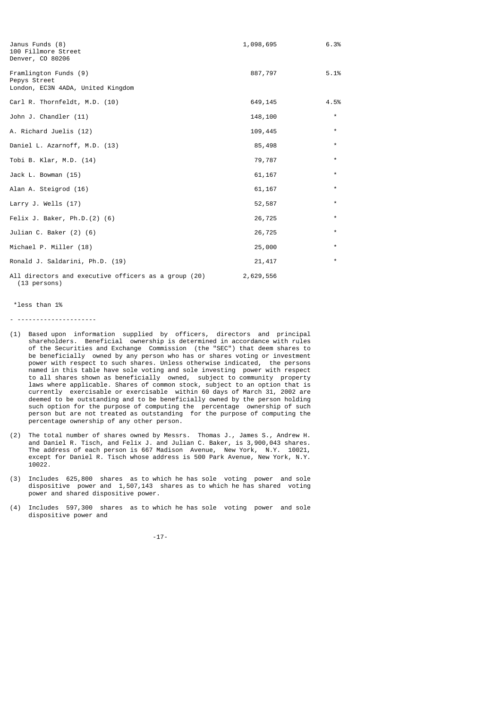| Janus Funds (8)<br>100 Fillmore Street<br>Denver, CO 80206                 | 1,098,695 | 6.3%     |
|----------------------------------------------------------------------------|-----------|----------|
| Framlington Funds (9)<br>Pepys Street<br>London, EC3N 4ADA, United Kingdom | 887,797   | 5.1%     |
| Carl R. Thornfeldt, M.D. (10)                                              | 649,145   | 4.5%     |
| John J. Chandler (11)                                                      | 148,100   | $\star$  |
| A. Richard Juelis (12)                                                     | 109,445   | $\star$  |
| Daniel L. Azarnoff, M.D. (13)                                              | 85,498    | $\star$  |
| Tobi B. Klar, M.D. (14)                                                    | 79,787    | $\star$  |
| Jack L. Bowman (15)                                                        | 61,167    | $\star$  |
| Alan A. Steigrod (16)                                                      | 61,167    | $\star$  |
| Larry J. Wells $(17)$                                                      | 52,587    | $\star$  |
| Felix J. Baker, $Ph.D.(2) (6)$                                             | 26,725    | $\star$  |
| Julian C. Baker (2) (6)                                                    | 26,725    | $^\star$ |
| Michael P. Miller (18)                                                     | 25,000    | $\star$  |
| Ronald J. Saldarini, Ph.D. (19)                                            | 21,417    | $\star$  |
| All directors and executive officers as a group (20)<br>(13 persons)       | 2,629,556 |          |

\*less than 1%

- ---------------------

- (1) Based upon information supplied by officers, directors and principal shareholders. Beneficial ownership is determined in accordance with rules of the Securities and Exchange Commission (the "SEC") that deem shares to be beneficially owned by any person who has or shares voting or investment power with respect to such shares. Unless otherwise indicated, the persons named in this table have sole voting and sole investing power with respect to all shares shown as beneficially owned, subject to community property laws where applicable. Shares of common stock, subject to an option that is currently exercisable or exercisable within 60 days of March 31, 2002 are deemed to be outstanding and to be beneficially owned by the person holding such option for the purpose of computing the percentage ownership of such person but are not treated as outstanding for the purpose of computing the percentage ownership of any other person.
- (2) The total number of shares owned by Messrs. Thomas J., James S., Andrew H. and Daniel R. Tisch, and Felix J. and Julian C. Baker, is 3,900,043 shares. The address of each person is 667 Madison Avenue, New York, N.Y. 10021, except for Daniel R. Tisch whose address is 500 Park Avenue, New York, N.Y. 10022.
- (3) Includes 625,800 shares as to which he has sole voting power and sole dispositive power and 1,507,143 shares as to which he has shared voting power and shared dispositive power.
- (4) Includes 597,300 shares as to which he has sole voting power and sole dispositive power and

-17-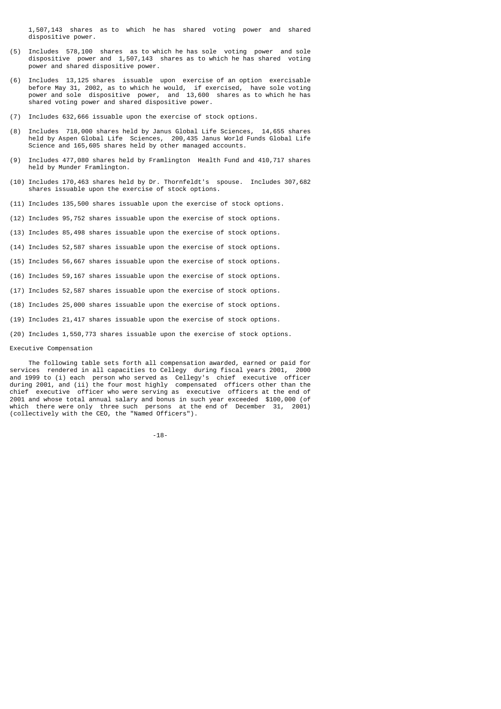1,507,143 shares as to which he has shared voting power and shared dispositive power.

- (5) Includes 578,100 shares as to which he has sole voting power and sole dispositive power and 1,507,143 shares as to which he has shared voting power and shared dispositive power.
- (6) Includes 13,125 shares issuable upon exercise of an option exercisable before May 31, 2002, as to which he would, if exercised, have sole voting power and sole dispositive power, and 13,600 shares as to which he has shared voting power and shared dispositive power.
- (7) Includes 632,666 issuable upon the exercise of stock options.
- (8) Includes 718,000 shares held by Janus Global Life Sciences, 14,655 shares held by Aspen Global Life Sciences, 200,435 Janus World Funds Global Life Science and 165,605 shares held by other managed accounts.
- (9) Includes 477,080 shares held by Framlington Health Fund and 410,717 shares held by Munder Framlington.
- (10) Includes 170,463 shares held by Dr. Thornfeldt's spouse. Includes 307,682 shares issuable upon the exercise of stock options.
- (11) Includes 135,500 shares issuable upon the exercise of stock options.
- (12) Includes 95,752 shares issuable upon the exercise of stock options.
- (13) Includes 85,498 shares issuable upon the exercise of stock options.
- (14) Includes 52,587 shares issuable upon the exercise of stock options.
- (15) Includes 56,667 shares issuable upon the exercise of stock options.
- (16) Includes 59,167 shares issuable upon the exercise of stock options.
- (17) Includes 52,587 shares issuable upon the exercise of stock options.
- (18) Includes 25,000 shares issuable upon the exercise of stock options.
- (19) Includes 21,417 shares issuable upon the exercise of stock options.
- (20) Includes 1,550,773 shares issuable upon the exercise of stock options.

## Executive Compensation

The following table sets forth all compensation awarded, earned or paid for<br>Lees rendered in all capacities to Cellegy, during fiscal years 2001 - 2000 services rendered in all capacities to Cellegy during fiscal years 2001, and 1999 to (i) each person who served as Cellegy's chief executive officer during 2001, and (ii) the four most highly compensated officers other than the chief executive officer who were serving as executive officers at the end of 2001 and whose total annual salary and bonus in such year exceeded \$100,000 (of which there were only three such persons at the end of December 31, 2001) (collectively with the CEO, the "Named Officers").

-18-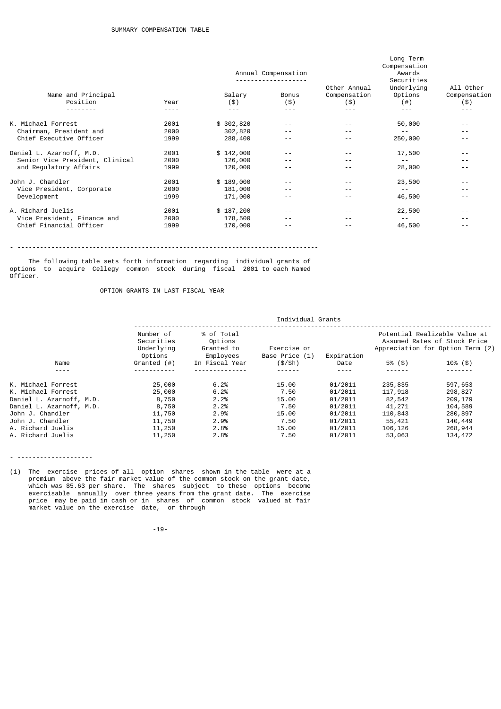|                                 |      |           | Annual Compensation | Long Term<br>Compensation<br>Awards<br>Securities<br>All Other<br>Other Annual<br>Underlying |           |              |
|---------------------------------|------|-----------|---------------------|----------------------------------------------------------------------------------------------|-----------|--------------|
| Name and Principal              |      | Salary    | Bonus               | Compensation                                                                                 | Options   | Compensation |
| Position                        | Year | (3)       | (3)                 | (3)                                                                                          | $($ # $)$ | (3)          |
|                                 |      | $- - -$   | $- - -$             | $- - -$                                                                                      | - - -     | $- - -$      |
| K. Michael Forrest              | 2001 | \$302,820 | $- -$               | $ -$                                                                                         | 50,000    | $- -$        |
| Chairman, President and         | 2000 | 302,820   | $- -$               | - -                                                                                          | $ -$      | $- -$        |
| Chief Executive Officer         | 1999 | 288,400   | $- -$               | $ -$                                                                                         | 250,000   | $- -$        |
| Daniel L. Azarnoff, M.D.        | 2001 | \$142,000 | $- -$               | - -                                                                                          | 17,500    | - -          |
| Senior Vice President, Clinical | 2000 | 126,000   | $ -$                | $ -$                                                                                         | $ -$      | $- -$        |
| and Regulatory Affairs          | 1999 | 120,000   |                     | $ -$                                                                                         | 28,000    | $- -$        |
| John J. Chandler                | 2001 | \$189,000 | $- -$               | $ -$                                                                                         | 23,500    | $- -$        |
| Vice President, Corporate       | 2000 | 181,000   | $- -$               | $ -$                                                                                         | $ -$      | $- -$        |
| Development                     | 1999 | 171,000   |                     | $ -$                                                                                         | 46,500    | $- -$        |
| A. Richard Juelis               | 2001 | \$187,200 | $- -$               | $ -$                                                                                         | 22,500    | $- -$        |
| Vice President, Finance and     | 2000 | 178,500   | $- -$               | $ -$                                                                                         | $ -$      | $- -$        |
| Chief Financial Officer         | 1999 | 170,000   | $- -$               | $ -$                                                                                         | 46,500    | $- -$        |

- --------------------------------------------------------------------------------

 The following table sets forth information regarding individual grants of options to acquire Cellegy common stock during fiscal 2001 to each Named Officer.

# OPTION GRANTS IN LAST FISCAL YEAR

|                          | Individual Grants                                |                                                  |                               |            |         |                                                                                                   |  |
|--------------------------|--------------------------------------------------|--------------------------------------------------|-------------------------------|------------|---------|---------------------------------------------------------------------------------------------------|--|
|                          | Number of<br>Securities<br>Underlying<br>Options | % of Total<br>Options<br>Granted to<br>Employees | Exercise or<br>Base Price (1) | Expiration |         | Potential Realizable Value at<br>Assumed Rates of Stock Price<br>Appreciation for Option Term (2) |  |
| Name                     | Granted $($ # $)$                                | In Fiscal Year                                   | (S/Sh)                        | Date       | 5% (\$) | $10\%$ (\$)                                                                                       |  |
| ----                     |                                                  |                                                  |                               |            |         |                                                                                                   |  |
| K. Michael Forrest       | 25,000                                           | 6.2%                                             | 15.00                         | 01/2011    | 235,835 | 597,653                                                                                           |  |
| K. Michael Forrest       | 25,000                                           | 6.2%                                             | 7.50                          | 01/2011    | 117,918 | 298,827                                                                                           |  |
| Daniel L. Azarnoff, M.D. | 8,750                                            | 2.2%                                             | 15.00                         | 01/2011    | 82,542  | 209,179                                                                                           |  |
| Daniel L. Azarnoff, M.D. | 8,750                                            | 2.2%                                             | 7.50                          | 01/2011    | 41,271  | 104,589                                                                                           |  |
| John J. Chandler         | 11,750                                           | 2.9%                                             | 15.00                         | 01/2011    | 110,843 | 280,897                                                                                           |  |
| John J. Chandler         | 11,750                                           | 2.9%                                             | 7.50                          | 01/2011    | 55,421  | 140,449                                                                                           |  |
| A. Richard Juelis        | 11,250                                           | 2.8%                                             | 15.00                         | 01/2011    | 106,126 | 268,944                                                                                           |  |
| A. Richard Juelis        | 11,250                                           | 2.8%                                             | 7.50                          | 01/2011    | 53,063  | 134,472                                                                                           |  |
|                          |                                                  |                                                  |                               |            |         |                                                                                                   |  |

- --------------------

(1) The exercise prices of all option shares shown in the table were at a premium above the fair market value of the common stock on the grant date, which was \$5.63 per share. The shares subject to these options become exercisable annually over three years from the grant date. The exercise price may be paid in cash or in shares of common stock valued at fair market value on the exercise date, or through

-19-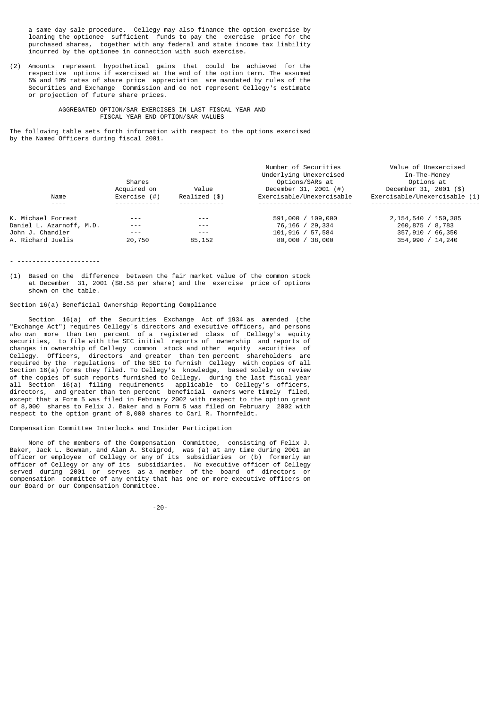a same day sale procedure. Cellegy may also finance the option exercise by loaning the optionee sufficient funds to pay the exercise price for the purchased shares, together with any federal and state income tax liability incurred by the optionee in connection with such exercise.

(2) Amounts represent hypothetical gains that could be achieved for the respective options if exercised at the end of the option term. The assumed 5% and 10% rates of share price appreciation are mandated by rules of the Securities and Exchange Commission and do not represent Cellegy's estimate or projection of future share prices.

## AGGREGATED OPTION/SAR EXERCISES IN LAST FISCAL YEAR AND FISCAL YEAR END OPTION/SAR VALUES

The following table sets forth information with respect to the options exercised by the Named Officers during fiscal 2001.

|                          | Shares          |               | Number of Securities<br>Underlying Unexercised<br>Options/SARs at | Value of Unexercised<br>In-The-Money<br>Options at |
|--------------------------|-----------------|---------------|-------------------------------------------------------------------|----------------------------------------------------|
|                          | Acquired on     | Value         | December 31, 2001 $(#)$                                           | December 31, 2001 (\$)                             |
| Name                     | Exercise $($ #) | Realized (\$) | Exercisable/Unexercisable                                         | Exercisable/Unexercisable (1)                      |
| - - - -                  |                 |               |                                                                   |                                                    |
| K. Michael Forrest       | $- - -$         | $- - -$       | 591,000 / 109,000                                                 | 2, 154, 540 / 150, 385                             |
| Daniel L. Azarnoff, M.D. | $- - -$         | $- - -$       | 76,166 / 29,334                                                   | 260,875 / 8,783                                    |
| John J. Chandler         | $- - -$         | $- - -$       | $101,916 \; / \; 57,584$                                          | 357,910 / 66,350                                   |
| A. Richard Juelis        | 20,750          | 85,152        | 80,000 / 38,000                                                   | 354,990 / 14,240                                   |

#### - ----------------------

(1) Based on the difference between the fair market value of the common stock at December 31, 2001 (\$8.58 per share) and the exercise price of options shown on the table.

# Section 16(a) Beneficial Ownership Reporting Compliance

 Section 16(a) of the Securities Exchange Act of 1934 as amended (the "Exchange Act") requires Cellegy's directors and executive officers, and persons who own more than ten percent of a registered class of Cellegy's equity securities, to file with the SEC initial reports of ownership and reports of changes in ownership of Cellegy common stock and other equity securities of Cellegy. Officers, directors and greater than ten percent shareholders are required by the regulations of the SEC to furnish Cellegy with copies of all Section 16(a) forms they filed. To Cellegy's knowledge, based solely on review of the copies of such reports furnished to Cellegy, during the last fiscal year all Section 16(a) filing requirements applicable to Cellegy's officers, directors, and greater than ten percent beneficial owners were timely filed, except that a Form 5 was filed in February 2002 with respect to the option grant of 8,000 shares to Felix J. Baker and a Form 5 was filed on February 2002 with respect to the option grant of 8,000 shares to Carl R. Thornfeldt.

Compensation Committee Interlocks and Insider Participation

 None of the members of the Compensation Committee, consisting of Felix J. Baker, Jack L. Bowman, and Alan A. Steigrod, was (a) at any time during 2001 an officer or employee of Cellegy or any of its subsidiaries or (b) formerly an officer of Cellegy or any of its subsidiaries. No executive officer of Cellegy served during 2001 or serves as a member of the board of directors or compensation committee of any entity that has one or more executive officers on our Board or our Compensation Committee.

-20-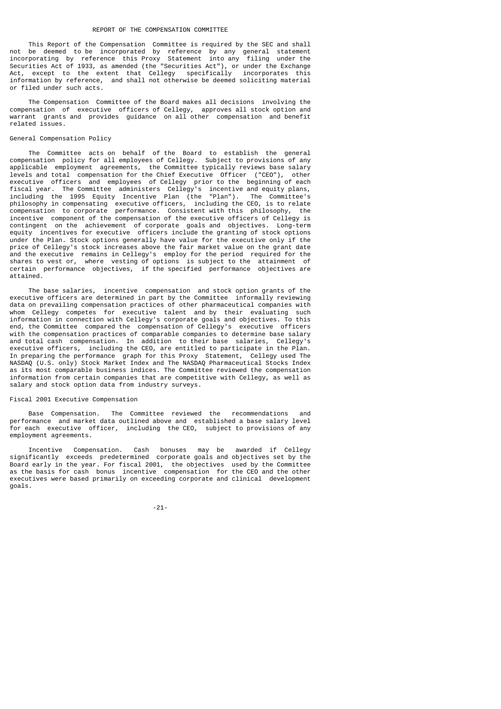#### REPORT OF THE COMPENSATION COMMITTEE

 This Report of the Compensation Committee is required by the SEC and shall not be deemed to be incorporated by reference by any general statement incorporating by reference this Proxy Statement into any filing under the Securities Act of 1933, as amended (the "Securities Act"), or under the Exchange Act, except to the extent that Cellegy specifically incorporates this information by reference, and shall not otherwise be deemed soliciting material or filed under such acts.

 The Compensation Committee of the Board makes all decisions involving the compensation of executive officers of Cellegy, approves all stock option and warrant grants and provides guidance on all other compensation and benefit related issues.

## General Compensation Policy

 The Committee acts on behalf of the Board to establish the general compensation policy for all employees of Cellegy. Subject to provisions of any applicable employment agreements, the Committee typically reviews base salary levels and total compensation for the Chief Executive Officer ("CEO"), other executive officers and employees of Cellegy prior to the beginning of each fiscal year. The Committee administers Cellegy's incentive and equity plans, including the 1995 Equity Incentive Plan (the "Plan"). The Committee's philosophy in compensating executive officers, including the CEO, is to relate compensation to corporate performance. Consistent with this philosophy, the incentive component of the compensation of the executive officers of Cellegy is contingent on the achievement of corporate goals and objectives. Long-term equity incentives for executive officers include the granting of stock options under the Plan. Stock options generally have value for the executive only if the price of Cellegy's stock increases above the fair market value on the grant date and the executive remains in Cellegy's employ for the period required for the shares to vest or, where vesting of options is subject to the attainment of certain performance objectives, if the specified performance objectives are attained.

 The base salaries, incentive compensation and stock option grants of the executive officers are determined in part by the Committee informally reviewing data on prevailing compensation practices of other pharmaceutical companies with whom Cellegy competes for executive talent and by their evaluating such whom Cellegy competes for executive talent and by their evaluating information in connection with Cellegy's corporate goals and objectives. To this end, the Committee compared the compensation of Cellegy's executive officers with the compensation practices of comparable companies to determine base salary and total cash compensation. In addition to their base salaries, Cellegy's executive officers, including the CEO, are entitled to participate in the Plan. In preparing the performance graph for this Proxy Statement, Cellegy used The NASDAQ (U.S. only) Stock Market Index and The NASDAQ Pharmaceutical Stocks Index as its most comparable business indices. The Committee reviewed the compensation information from certain companies that are competitive with Cellegy, as well as salary and stock option data from industry surveys.

# Fiscal 2001 Executive Compensation

 Base Compensation. The Committee reviewed the recommendations and performance and market data outlined above and established a base salary level for each executive officer, including the CEO, subject to provisions of any employment agreements.

 Incentive Compensation. Cash bonuses may be awarded if Cellegy significantly exceeds predetermined corporate goals and objectives set by the Board early in the year. For fiscal 2001, the objectives used by the Committee as the basis for cash bonus incentive compensation for the CEO and the other executives were based primarily on exceeding corporate and clinical development goals.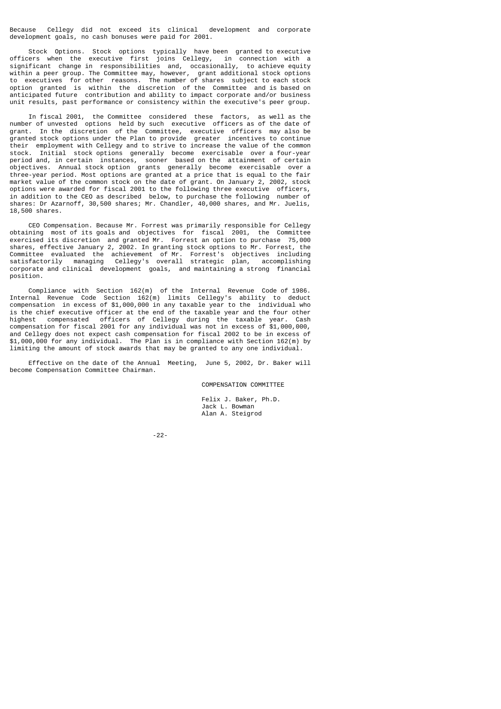Because Cellegy did not exceed its clinical development and corporate development goals, no cash bonuses were paid for 2001.

 Stock Options. Stock options typically have been granted to executive officers when the executive first joins Cellegy, in connection with a significant change in responsibilities and occasionally, to achieve equity significant change in responsibilities and, occasionally, within a peer group. The Committee may, however, grant additional stock options to executives for other reasons. The number of shares subject to each stock option granted is within the discretion of the Committee and is based on anticipated future contribution and ability to impact corporate and/or business unit results, past performance or consistency within the executive's peer group.

 In fiscal 2001, the Committee considered these factors, as well as the number of unvested options held by such executive officers as of the date of grant. In the discretion of the Committee, executive officers may also be granted stock options under the Plan to provide greater incentives to continue their employment with Cellegy and to strive to increase the value of the common stock. Initial stock options generally become exercisable over a four-year period and, in certain instances, sooner based on the attainment of certain objectives. Annual stock option grants generally become exercisable over a three-year period. Most options are granted at a price that is equal to the fair market value of the common stock on the date of grant. On January 2, 2002, stock options were awarded for fiscal 2001 to the following three executive officers, in addition to the CEO as described below, to purchase the following number of shares: Dr Azarnoff, 30,500 shares; Mr. Chandler, 40,000 shares, and Mr. Juelis, 18,500 shares.

 CEO Compensation. Because Mr. Forrest was primarily responsible for Cellegy obtaining most of its goals and objectives for fiscal 2001, the Committee exercised its discretion and granted Mr. Forrest an option to purchase 75,000 shares, effective January 2, 2002. In granting stock options to Mr. Forrest, the Committee evaluated the achievement of Mr. Forrest's objectives including satisfactorily managing Cellegy's overall strategic plan, accomplishing corporate and clinical development goals, and maintaining a strong financial position.

 Compliance with Section 162(m) of the Internal Revenue Code of 1986. Internal Revenue Code Section 162(m) limits Cellegy's ability to deduct compensation in excess of \$1,000,000 in any taxable year to the individual who is the chief executive officer at the end of the taxable year and the four other highest compensated officers of Cellegy during the taxable year. Cash compensation for fiscal 2001 for any individual was not in excess of \$1,000,000, and Cellegy does not expect cash compensation for fiscal 2002 to be in excess of \$1,000,000 for any individual. The Plan is in compliance with Section 162(m) by limiting the amount of stock awards that may be granted to any one individual.

 Effective on the date of the Annual Meeting, June 5, 2002, Dr. Baker will become Compensation Committee Chairman.

COMPENSATION COMMITTEE

 Felix J. Baker, Ph.D. Jack L. Bowman Alan A. Steigrod

-22-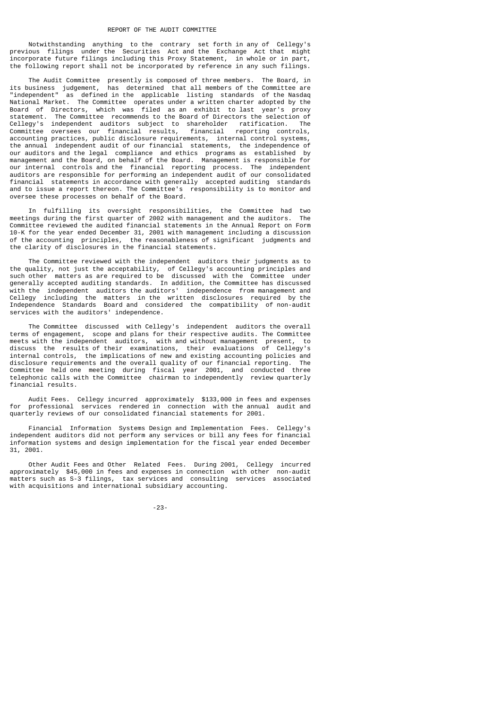Notwithstanding anything to the contrary set forth in any of Cellegy's previous filings under the Securities Act and the Exchange Act that might incorporate future filings including this Proxy Statement, in whole or in part, the following report shall not be incorporated by reference in any such filings.

 The Audit Committee presently is composed of three members. The Board, in its business judgement, has determined that all members of the Committee are "independent" as defined in the applicable listing standards of the Nasdaq National Market. The Committee operates under a written charter adopted by the Board of Directors, which was filed as an exhibit to last year's proxy statement. The Committee recommends to the Board of Directors the selection of Cellegy's independent auditors subject to shareholder ratification. The Committee oversees our financial results, financial reporting controls, accounting practices, public disclosure requirements, internal control systems, the annual independent audit of our financial statements, the independence of our auditors and the legal compliance and ethics programs as established by management and the Board, on behalf of the Board. Management is responsible for our internal controls and the financial reporting process. The independent auditors are responsible for performing an independent audit of our consolidated financial statements in accordance with generally accepted auditing standards and to issue a report thereon. The Committee's responsibility is to monitor and oversee these processes on behalf of the Board.

In fulfilling its oversight responsibilities, the Committee had two<br>ings during the first quarter of 2002 with management and the auditors. The meetings during the first quarter of 2002 with management and the auditors. Committee reviewed the audited financial statements in the Annual Report on Form 10-K for the year ended December 31, 2001 with management including a discussion of the accounting principles, the reasonableness of significant judgments and the clarity of disclosures in the financial statements.

 The Committee reviewed with the independent auditors their judgments as to the quality, not just the acceptability, of Cellegy's accounting principles and such other matters as are required to be discussed with the Committee under generally accepted auditing standards. In addition, the Committee has discussed with the independent auditors the auditors' independence from management and Cellegy including the matters in the written disclosures required by the Independence Standards Board and considered the compatibility of non-audit services with the auditors' independence.

 The Committee discussed with Cellegy's independent auditors the overall terms of engagement, scope and plans for their respective audits. The Committee meets with the independent auditors, with and without management present, to discuss the results of their examinations, their evaluations of Cellegy's internal controls, the implications of new and existing accounting policies and disclosure requirements and the overall quality of our financial reporting. The disclosure requirements and the overall quality of our financial reporting. Committee held one meeting during fiscal year 2001, and conducted three telephonic calls with the Committee chairman to independently review quarterly financial results.

 Audit Fees. Cellegy incurred approximately \$133,000 in fees and expenses for professional services rendered in connection with the annual audit and quarterly reviews of our consolidated financial statements for 2001.

 Financial Information Systems Design and Implementation Fees. Cellegy's independent auditors did not perform any services or bill any fees for financial information systems and design implementation for the fiscal year ended December 31, 2001.

 Other Audit Fees and Other Related Fees. During 2001, Cellegy incurred approximately \$45,000 in fees and expenses in connection with other non-audit matters such as S-3 filings, tax services and consulting services associated with acquisitions and international subsidiary accounting.

-23-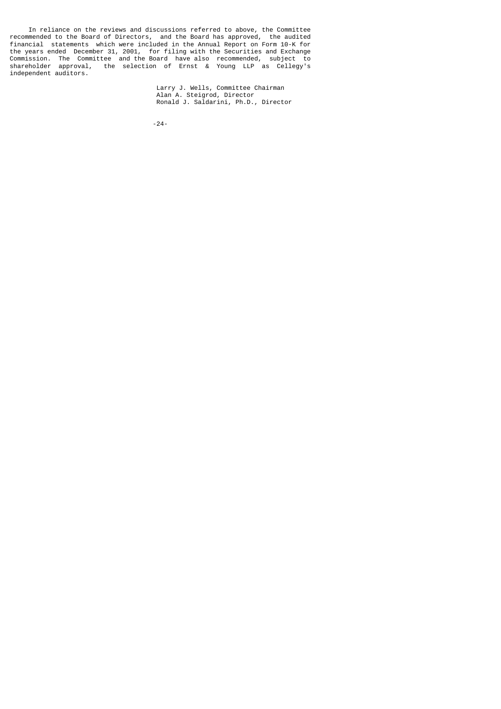In reliance on the reviews and discussions referred to above, the Committee recommended to the Board of Directors, and the Board has approved, the audited financial statements which were included in the Annual Report on Form 10-K for the years ended December 31, 2001, for filing with the Securities and Exchange Commission. The Committee and the Board have also recommended, subject to shareholder approval, the selection of Ernst & Young LLP as Cellegy's independent auditors.

 Larry J. Wells, Committee Chairman Alan A. Steigrod, Director Ronald J. Saldarini, Ph.D., Director

-24-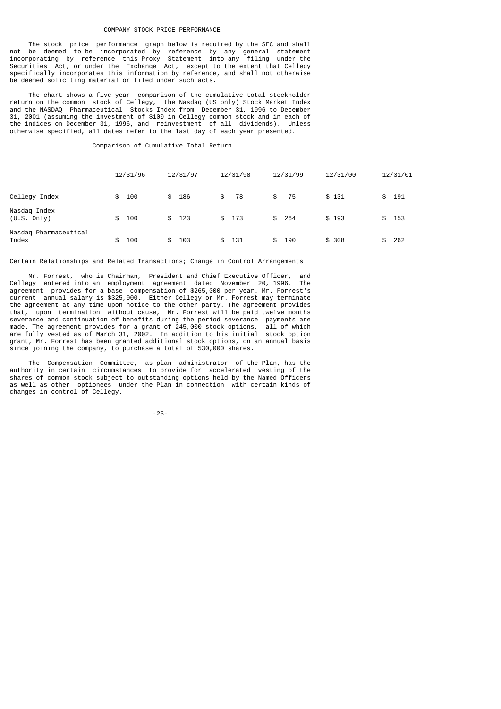#### COMPANY STOCK PRICE PERFORMANCE

 The stock price performance graph below is required by the SEC and shall not be deemed to be incorporated by reference by any general statement incorporating by reference this Proxy Statement into any filing under the Securities Act, or under the Exchange Act, except to the extent that Cellegy specifically incorporates this information by reference, and shall not otherwise be deemed soliciting material or filed under such acts.

 The chart shows a five-year comparison of the cumulative total stockholder return on the common stock of Cellegy, the Nasdaq (US only) Stock Market Index and the NASDAQ Pharmaceutical Stocks Index from December 31, 1996 to December 31, 2001 (assuming the investment of \$100 in Cellegy common stock and in each of the indices on December 31, 1996, and reinvestment of all dividends). Unless otherwise specified, all dates refer to the last day of each year presented.

Comparison of Cumulative Total Return

|                                | 12/31/96  | 12/31/97  | 12/31/98              | 12/31/99             | 12/31/00 | 12/31/01            |
|--------------------------------|-----------|-----------|-----------------------|----------------------|----------|---------------------|
| Cellegy Index                  | 100<br>\$ | 186<br>\$ | 78<br>\$              | -75<br>\$            | \$131    | 191<br>\$           |
| Nasdaq Index<br>(U.S. Only)    | 100<br>\$ | \$ 123    | \$ 173                | \$ 264               | \$193    | 153<br>\$           |
| Nasdaq Pharmaceutical<br>Index | 100<br>\$ | 103<br>\$ | -131<br>$\mathcal{L}$ | 190<br>$\mathcal{L}$ | \$ 308   | 262<br>$\mathbf{F}$ |

## Certain Relationships and Related Transactions; Change in Control Arrangements

 Mr. Forrest, who is Chairman, President and Chief Executive Officer, and Cellegy entered into an employment agreement dated November 20, 1996. The agreement provides for a base compensation of \$265,000 per year. Mr. Forrest's current annual salary is \$325,000. Either Cellegy or Mr. Forrest may terminate the agreement at any time upon notice to the other party. The agreement provides that, upon termination without cause, Mr. Forrest will be paid twelve months severance and continuation of benefits during the period severance payments are made. The agreement provides for a grant of 245,000 stock options, all of which are fully vested as of March 31, 2002. In addition to his initial stock option grant, Mr. Forrest has been granted additional stock options, on an annual basis since joining the company, to purchase a total of 530,000 shares.

 The Compensation Committee, as plan administrator of the Plan, has the authority in certain circumstances to provide for accelerated vesting of the shares of common stock subject to outstanding options held by the Named Officers as well as other optionees under the Plan in connection with certain kinds of changes in control of Cellegy.

-25-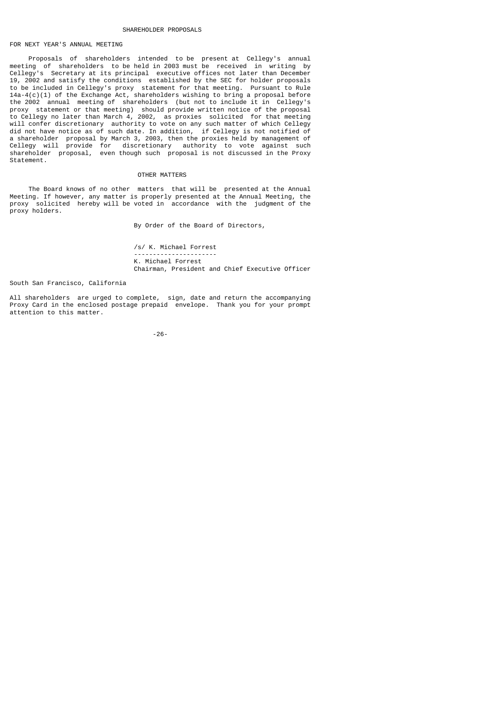### SHAREHOLDER PROPOSALS

# FOR NEXT YEAR'S ANNUAL MEETING

 Proposals of shareholders intended to be present at Cellegy's annual meeting of shareholders to be held in 2003 must be received in writing by Cellegy's Secretary at its principal executive offices not later than December 19, 2002 and satisfy the conditions established by the SEC for holder proposals to be included in Cellegy's proxy statement for that meeting. Pursuant to Rule 14a-4(c)(1) of the Exchange Act, shareholders wishing to bring a proposal before the 2002 annual meeting of shareholders (but not to include it in Cellegy's proxy statement or that meeting) should provide written notice of the proposal to Cellegy no later than March 4, 2002, as proxies solicited for that meeting will confer discretionary authority to vote on any such matter of which Cellegy did not have notice as of such date. In addition, if Cellegy is not notified of a shareholder proposal by March 3, 2003, then the proxies held by management of Cellegy will provide for discretionary authority to vote against such shareholder proposal, even though such proposal is not discussed in the Proxy Statement.

### OTHER MATTERS

 The Board knows of no other matters that will be presented at the Annual Meeting. If however, any matter is properly presented at the Annual Meeting, the proxy solicited hereby will be voted in accordance with the judgment of the proxy holders.

By Order of the Board of Directors,

 /s/ K. Michael Forrest ---------------------- K. Michael Forrest Chairman, President and Chief Executive Officer

South San Francisco, California

All shareholders are urged to complete, sign, date and return the accompanying Proxy Card in the enclosed postage prepaid envelope. Thank you for your prompt attention to this matter.

-26-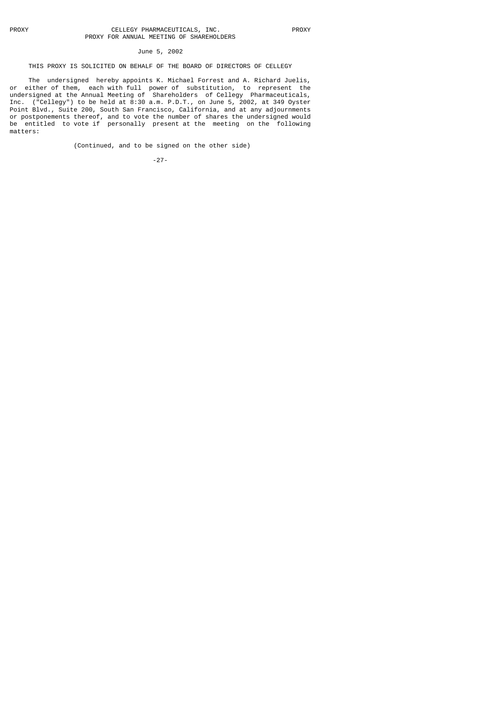# June 5, 2002

## THIS PROXY IS SOLICITED ON BEHALF OF THE BOARD OF DIRECTORS OF CELLEGY

 The undersigned hereby appoints K. Michael Forrest and A. Richard Juelis, or either of them, each with full power of substitution, to represent the undersigned at the Annual Meeting of Shareholders of Cellegy Pharmaceuticals, Inc. ("Cellegy") to be held at 8:30 a.m. P.D.T., on June 5, 2002, at 349 Oyster Point Blvd., Suite 200, South San Francisco, California, and at any adjournments or postponements thereof, and to vote the number of shares the undersigned would be entitled to vote if personally present at the meeting on the following matters:

(Continued, and to be signed on the other side)

-27-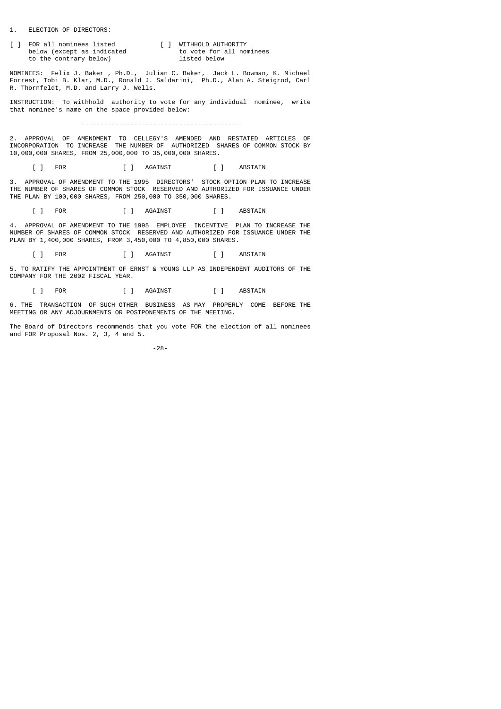1. ELECTION OF DIRECTORS:

[ ] FOR all nominees listed [ ] WITHHOLD AUTHORITY<br>below (except as indicated to vote for all nominees below (except as indicated to vote for a<br>to the contrary below) listed below to the contrary below)

NOMINEES: Felix J. Baker , Ph.D., Julian C. Baker, Jack L. Bowman, K. Michael Forrest, Tobi B. Klar, M.D., Ronald J. Saldarini, Ph.D., Alan A. Steigrod, Carl R. Thornfeldt, M.D. and Larry J. Wells.

INSTRUCTION: To withhold authority to vote for any individual nominee, write that nominee's name on the space provided below:

------------------------------------------

2. APPROVAL OF AMENDMENT TO CELLEGY'S AMENDED AND RESTATED ARTICLES OF INCORPORATION TO INCREASE THE NUMBER OF AUTHORIZED SHARES OF COMMON STOCK BY 10,000,000 SHARES, FROM 25,000,000 TO 35,000,000 SHARES.

[ ] FOR [ ] AGAINST [ ] ABSTAIN

3. APPROVAL OF AMENDMENT TO THE 1995 DIRECTORS' STOCK OPTION PLAN TO INCREASE THE NUMBER OF SHARES OF COMMON STOCK RESERVED AND AUTHORIZED FOR ISSUANCE UNDER THE PLAN BY 100,000 SHARES, FROM 250,000 TO 350,000 SHARES.

[ ] FOR [ ] AGAINST [ ] ABSTAIN

4. APPROVAL OF AMENDMENT TO THE 1995 EMPLOYEE INCENTIVE PLAN TO INCREASE THE NUMBER OF SHARES OF COMMON STOCK RESERVED AND AUTHORIZED FOR ISSUANCE UNDER THE PLAN BY 1,400,000 SHARES, FROM 3,450,000 TO 4,850,000 SHARES.

[ ] FOR [ ] AGAINST [ ] ABSTAIN

5. TO RATIFY THE APPOINTMENT OF ERNST & YOUNG LLP AS INDEPENDENT AUDITORS OF THE COMPANY FOR THE 2002 FISCAL YEAR.

[ ] FOR [ ] AGAINST [ ] ABSTAIN

6. THE TRANSACTION OF SUCH OTHER BUSINESS AS MAY PROPERLY COME BEFORE THE MEETING OR ANY ADJOURNMENTS OR POSTPONEMENTS OF THE MEETING.

The Board of Directors recommends that you vote FOR the election of all nominees and FOR Proposal Nos. 2, 3, 4 and 5.

-28-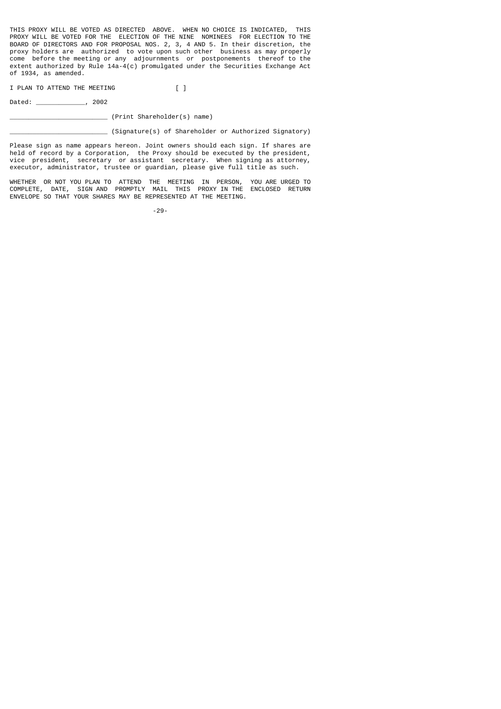THIS PROXY WILL BE VOTED AS DIRECTED ABOVE. WHEN NO CHOICE IS INDICATED, THIS PROXY WILL BE VOTED FOR THE ELECTION OF THE NINE NOMINEES FOR ELECTION TO THE BOARD OF DIRECTORS AND FOR PROPOSAL NOS. 2, 3, 4 AND 5. In their discretion, the proxy holders are authorized to vote upon such other business as may properly come before the meeting or any adjournments or postponements thereof to the extent authorized by Rule 14a-4(c) promulgated under the Securities Exchange Act of 1934, as amended.

I PLAN TO ATTEND THE MEETING [ ]

Dated: \_\_\_\_\_\_\_\_\_\_\_\_\_, 2002

\_\_\_\_\_\_\_\_\_\_\_\_\_\_\_\_\_\_\_\_\_\_\_\_\_\_ (Print Shareholder(s) name)

\_\_\_\_\_\_\_\_\_\_\_\_\_\_\_\_\_\_\_\_\_\_\_\_\_\_ (Signature(s) of Shareholder or Authorized Signatory)

Please sign as name appears hereon. Joint owners should each sign. If shares are held of record by a Corporation, the Proxy should be executed by the president, vice president, secretary or assistant secretary. When signing as attorney, executor, administrator, trustee or guardian, please give full title as such.

WHETHER OR NOT YOU PLAN TO ATTEND THE MEETING IN PERSON, YOU ARE URGED TO COMPLETE, DATE, SIGN AND PROMPTLY MAIL THIS PROXY IN THE ENCLOSED RETURN ENVELOPE SO THAT YOUR SHARES MAY BE REPRESENTED AT THE MEETING.

-29-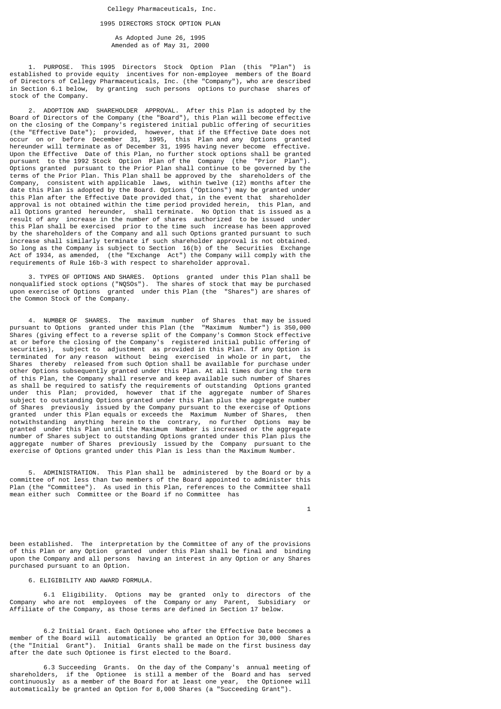## 1995 DIRECTORS STOCK OPTION PLAN

 As Adopted June 26, 1995 Amended as of May 31, 2000

 1. PURPOSE. This 1995 Directors Stock Option Plan (this "Plan") is established to provide equity incentives for non-employee members of the Board of Directors of Cellegy Pharmaceuticals, Inc. (the "Company"), who are described in Section 6.1 below, by granting such persons options to purchase shares of stock of the Company.

 2. ADOPTION AND SHAREHOLDER APPROVAL. After this Plan is adopted by the Board of Directors of the Company (the "Board"), this Plan will become effective on the closing of the Company's registered initial public offering of securities (the "Effective Date"); provided, however, that if the Effective Date does not occur on or before December 31, 1995, this Plan and any Options granted hereunder will terminate as of December 31, 1995 having never become effective. Upon the Effective Date of this Plan, no further stock options shall be granted pursuant to the 1992 Stock Option Plan of the Company (the "Prior Plan"). Options granted pursuant to the Prior Plan shall continue to be governed by the terms of the Prior Plan. This Plan shall be approved by the shareholders of the Company, consistent with applicable laws, within twelve (12) months after the date this Plan is adopted by the Board. Options ("Options") may be granted under this Plan after the Effective Date provided that, in the event that shareholder approval is not obtained within the time period provided herein, this Plan, and all Options granted hereunder, shall terminate. No Option that is issued as a result of any increase in the number of shares authorized to be issued under this Plan shall be exercised prior to the time such increase has been approved by the shareholders of the Company and all such Options granted pursuant to such increase shall similarly terminate if such shareholder approval is not obtained. So long as the Company is subject to Section 16(b) of the Securities Exchange Act of 1934, as amended, (the "Exchange Act") the Company will comply with the requirements of Rule 16b-3 with respect to shareholder approval.

 3. TYPES OF OPTIONS AND SHARES. Options granted under this Plan shall be nonqualified stock options ("NQSOs"). The shares of stock that may be purchased upon exercise of Options granted under this Plan (the "Shares") are shares of the Common Stock of the Company.

 4. NUMBER OF SHARES. The maximum number of Shares that may be issued pursuant to Options granted under this Plan (the "Maximum Number") is 350,000 Shares (giving effect to a reverse split of the Company's Common Stock effective at or before the closing of the Company's registered initial public offering of securities), subject to adjustment as provided in this Plan. If any Option is terminated for any reason without being exercised in whole or in part, the Shares thereby released from such Option shall be available for purchase under other Options subsequently granted under this Plan. At all times during the term of this Plan, the Company shall reserve and keep available such number of Shares as shall be required to satisfy the requirements of outstanding Options granted under this Plan; provided, however that if the aggregate number of Shares subject to outstanding Options granted under this Plan plus the aggregate number of Shares previously issued by the Company pursuant to the exercise of Options granted under this Plan equals or exceeds the Maximum Number of Shares, then notwithstanding anything herein to the contrary, no further Options may be granted under this Plan until the Maximum Number is increased or the aggregate number of Shares subject to outstanding Options granted under this Plan plus the aggregate number of Shares previously issued by the Company pursuant to the exercise of Options granted under this Plan is less than the Maximum Number.

 5. ADMINISTRATION. This Plan shall be administered by the Board or by a committee of not less than two members of the Board appointed to administer this Plan (the "Committee"). As used in this Plan, references to the Committee shall mean either such Committee or the Board if no Committee has

 $\overline{1}$ 

been established. The interpretation by the Committee of any of the provisions of this Plan or any Option granted under this Plan shall be final and binding upon the Company and all persons having an interest in any Option or any Shares purchased pursuant to an Option.

## 6. ELIGIBILITY AND AWARD FORMULA.

 6.1 Eligibility. Options may be granted only to directors of the Company who are not employees of the Company or any Parent, Subsidiary or Affiliate of the Company, as those terms are defined in Section 17 below.

 6.2 Initial Grant. Each Optionee who after the Effective Date becomes a member of the Board will automatically be granted an Option for 30,000 Shares (the "Initial Grant"). Initial Grants shall be made on the first business day after the date such Optionee is first elected to the Board.

 6.3 Succeeding Grants. On the day of the Company's annual meeting of shareholders, if the Optionee is still a member of the Board and has served continuously as a member of the Board for at least one year, the Optionee will automatically be granted an Option for 8,000 Shares (a "Succeeding Grant").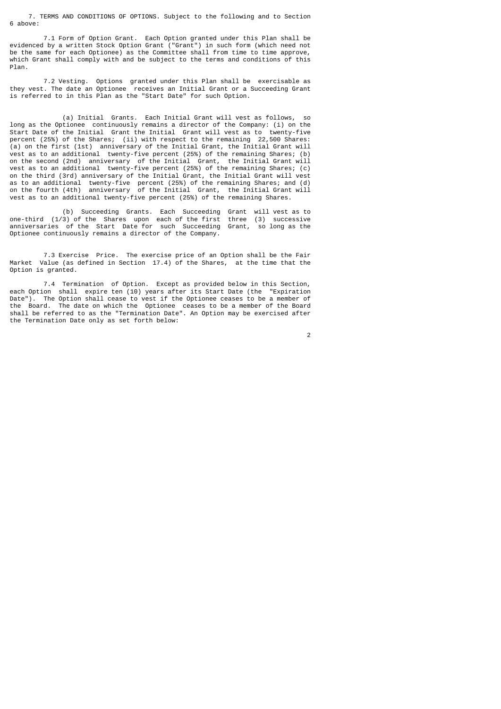7. TERMS AND CONDITIONS OF OPTIONS. Subject to the following and to Section 6 above:

 7.1 Form of Option Grant. Each Option granted under this Plan shall be evidenced by a written Stock Option Grant ("Grant") in such form (which need not be the same for each Optionee) as the Committee shall from time to time approve, which Grant shall comply with and be subject to the terms and conditions of this Plan.

 7.2 Vesting. Options granted under this Plan shall be exercisable as they vest. The date an Optionee receives an Initial Grant or a Succeeding Grant is referred to in this Plan as the "Start Date" for such Option.

(a) Initial Grants. Each Initial Grant will vest as follows, long as the Optionee continuously remains a director of the Company: (i) on the Start Date of the Initial Grant the Initial Grant will vest as to twenty-five percent (25%) of the Shares; (ii) with respect to the remaining 22,500 Shares: (a) on the first (1st) anniversary of the Initial Grant, the Initial Grant will vest as to an additional twenty-five percent (25%) of the remaining Shares; (b) on the second (2nd) anniversary of the Initial Grant, the Initial Grant will vest as to an additional twenty-five percent (25%) of the remaining Shares; (c) on the third (3rd) anniversary of the Initial Grant, the Initial Grant will vest as to an additional twenty-five percent (25%) of the remaining Shares; and (d) on the fourth (4th) anniversary of the Initial Grant, the Initial Grant will vest as to an additional twenty-five percent (25%) of the remaining Shares.

 (b) Succeeding Grants. Each Succeeding Grant will vest as to one-third (1/3) of the Shares upon each of the first three (3) successive anniversaries of the Start Date for such Succeeding Grant, so long as the Optionee continuously remains a director of the Company.

 7.3 Exercise Price. The exercise price of an Option shall be the Fair Market Value (as defined in Section 17.4) of the Shares, at the time that the Option is granted.

 7.4 Termination of Option. Except as provided below in this Section, each Option shall expire ten (10) years after its Start Date (the "Expiration Date"). The Option shall cease to vest if the Optionee ceases to be a member of the Board. The date on which the Optionee ceases to be a member of the Board shall be referred to as the "Termination Date". An Option may be exercised after the Termination Date only as set forth below:

2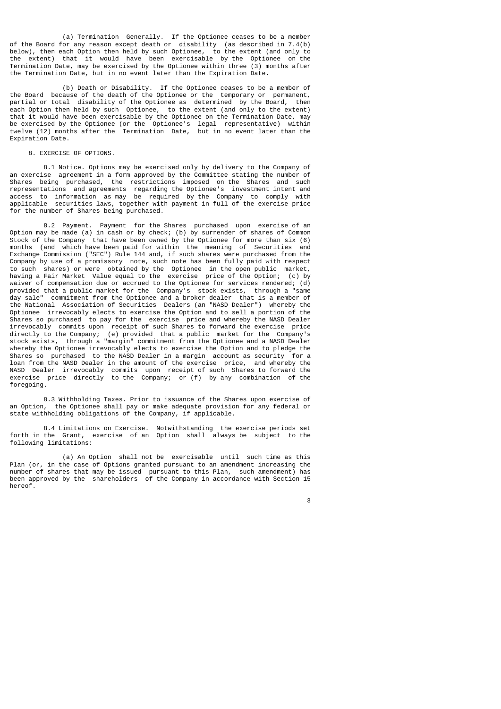(a) Termination Generally. If the Optionee ceases to be a member of the Board for any reason except death or disability (as described in 7.4(b) below), then each Option then held by such Optionee, to the extent (and only to the extent) that it would have been exercisable by the Optionee on the Termination Date, may be exercised by the Optionee within three (3) months after the Termination Date, but in no event later than the Expiration Date.

 (b) Death or Disability. If the Optionee ceases to be a member of the Board because of the death of the Optionee or the temporary or permanent, partial or total disability of the Optionee as determined by the Board, then each Option then held by such Optionee, to the extent (and only to the extent) that it would have been exercisable by the Optionee on the Termination Date, may be exercised by the Optionee (or the Optionee's legal representative) within twelve (12) months after the Termination Date, but in no event later than the Expiration Date.

## 8. EXERCISE OF OPTIONS.

 8.1 Notice. Options may be exercised only by delivery to the Company of an exercise agreement in a form approved by the Committee stating the number of Shares being purchased, the restrictions imposed on the Shares and such representations and agreements regarding the Optionee's investment intent and access to information as may be required by the Company to comply with<br>applicable securities laws, together with payment in full of the exercise price securities laws, together with payment in full of the exercise price for the number of Shares being purchased.

 8.2 Payment. Payment for the Shares purchased upon exercise of an Option may be made (a) in cash or by check; (b) by surrender of shares of Common Stock of the Company that have been owned by the Optionee for more than six (6) months (and which have been paid for within the meaning of Securities and Exchange Commission ("SEC") Rule 144 and, if such shares were purchased from the Company by use of a promissory note, such note has been fully paid with respect to such shares) or were obtained by the Optionee in the open public market, having a Fair Market Value equal to the exercise price of the Option; (c) by waiver of compensation due or accrued to the Optionee for services rendered: (d) waiver of compensation due or accrued to the Optionee for services rendered; provided that a public market for the Company's stock exists, through a "same day sale" commitment from the Optionee and a broker-dealer that is a member of the National Association of Securities Dealers (an "NASD Dealer") whereby the Optionee irrevocably elects to exercise the Option and to sell a portion of the Shares so purchased to pay for the exercise price and whereby the NASD Dealer irrevocably commits upon receipt of such Shares to forward the exercise price directly to the Company; (e) provided that a public market for the Company's stock exists, through a "margin" commitment from the Optionee and a NASD Dealer whereby the Optionee irrevocably elects to exercise the Option and to pledge the Shares so purchased to the NASD Dealer in a margin account as security for a loan from the NASD Dealer in the amount of the exercise price, and whereby the NASD Dealer irrevocably commits upon receipt of such Shares to forward the exercise price directly to the Company; or (f) by any combination of the foregoing.

 8.3 Withholding Taxes. Prior to issuance of the Shares upon exercise of an Option, the Optionee shall pay or make adequate provision for any federal or state withholding obligations of the Company, if applicable.

 8.4 Limitations on Exercise. Notwithstanding the exercise periods set forth in the Grant, exercise of an Option shall always be subject to the following limitations:

 (a) An Option shall not be exercisable until such time as this Plan (or, in the case of Options granted pursuant to an amendment increasing the number of shares that may be issued pursuant to this Plan, such amendment) has been approved by the shareholders of the Company in accordance with Section 15 hereof.

 $\sim$  3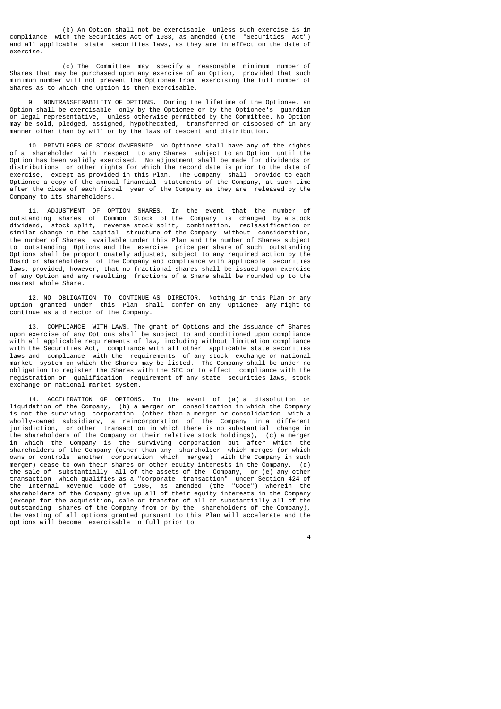(b) An Option shall not be exercisable unless such exercise is in compliance with the Securities Act of 1933, as amended (the "Securities Act") and all applicable state securities laws, as they are in effect on the date of exercise.

 (c) The Committee may specify a reasonable minimum number of Shares that may be purchased upon any exercise of an Option, provided that such minimum number will not prevent the Optionee from exercising the full number of Shares as to which the Option is then exercisable.

 9. NONTRANSFERABILITY OF OPTIONS. During the lifetime of the Optionee, an Option shall be exercisable only by the Optionee or by the Optionee's guardian or legal representative, unless otherwise permitted by the Committee. No Option may be sold, pledged, assigned, hypothecated, transferred or disposed of in any manner other than by will or by the laws of descent and distribution.

 10. PRIVILEGES OF STOCK OWNERSHIP. No Optionee shall have any of the rights of a shareholder with respect to any Shares subject to an Option until the Option has been validly exercised. No adjustment shall be made for dividends or distributions or other rights for which the record date is prior to the date of exercise, except as provided in this Plan. The Company shall provide to each Optionee a copy of the annual financial statements of the Company, at such time after the close of each fiscal year of the Company as they are released by the Company to its shareholders.

 11. ADJUSTMENT OF OPTION SHARES. In the event that the number of outstanding shares of Common Stock of the Company is changed by a stock dividend, stock split, reverse stock split, combination, reclassification or similar change in the capital structure of the Company without consideration, the number of Shares available under this Plan and the number of Shares subject to outstanding Options and the exercise price per share of such outstanding Options shall be proportionately adjusted, subject to any required action by the Board or shareholders of the Company and compliance with applicable securities laws; provided, however, that no fractional shares shall be issued upon exercise of any Option and any resulting fractions of a Share shall be rounded up to the nearest whole Share.

 12. NO OBLIGATION TO CONTINUE AS DIRECTOR. Nothing in this Plan or any Option granted under this Plan shall confer on any Optionee any right to continue as a director of the Company.

 13. COMPLIANCE WITH LAWS. The grant of Options and the issuance of Shares upon exercise of any Options shall be subject to and conditioned upon compliance with all applicable requirements of law, including without limitation compliance with the Securities Act, compliance with all other applicable state securities laws and compliance with the requirements of any stock exchange or national market system on which the Shares may be listed. The Company shall be under no obligation to register the Shares with the SEC or to effect compliance with the registration or qualification requirement of any state securities laws, stock exchange or national market system.

ACCELERATION OF OPTIONS. In the event of (a) a dissolution or liquidation of the Company, (b) a merger or consolidation in which the Company is not the surviving corporation (other than a merger or consolidation with a wholly-owned subsidiary, a reincorporation of the Company in a different jurisdiction, or other transaction in which there is no substantial change in the shareholders of the Company or their relative stock holdings), (c) a merger in which the Company is the surviving corporation but after which the shareholders of the Company (other than any shareholder which merges (or which owns or controls another corporation which merges) with the Company in such merger) cease to own their shares or other equity interests in the Company, (d) the sale of substantially all of the assets of the Company, or (e) any other transaction which qualifies as a "corporate transaction" under Section 424 of the Internal Revenue Code of 1986, as amended (the "Code") wherein the shareholders of the Company give up all of their equity interests in the Company (except for the acquisition, sale or transfer of all or substantially all of the outstanding shares of the Company from or by the shareholders of the Company), the vesting of all options granted pursuant to this Plan will accelerate and the options will become exercisable in full prior to

4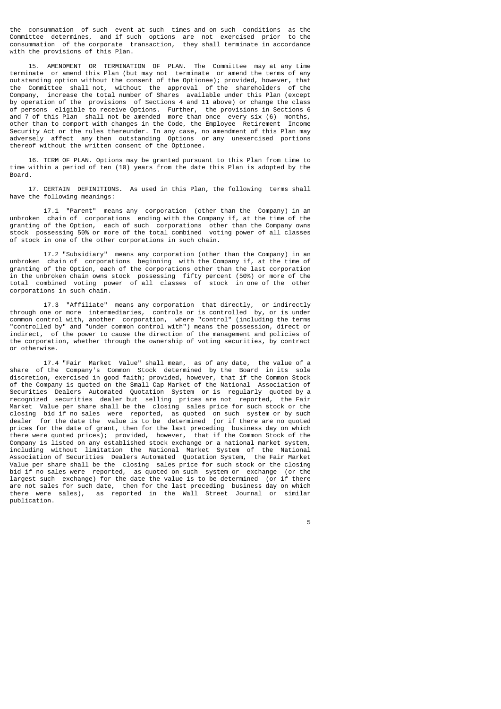the consummation of such event at such times and on such conditions as the Committee determines, and if such options are not exercised prior to the consummation of the corporate transaction, they shall terminate in accordance with the provisions of this Plan.

 15. AMENDMENT OR TERMINATION OF PLAN. The Committee may at any time terminate or amend this Plan (but may not terminate or amend the terms of any outstanding option without the consent of the Optionee); provided, however, that the Committee shall not, without the approval of the shareholders of the Company, increase the total number of Shares available under this Plan (except by operation of the provisions of Sections 4 and 11 above) or change the class of persons eligible to receive Options. Further, the provisions in Sections 6 and 7 of this Plan shall not be amended more than once every six (6) months, other than to comport with changes in the Code, the Employee Retirement Income Security Act or the rules thereunder. In any case, no amendment of this Plan may adversely affect any then outstanding Options or any unexercised portions thereof without the written consent of the Optionee.

 16. TERM OF PLAN. Options may be granted pursuant to this Plan from time to time within a period of ten (10) years from the date this Plan is adopted by the Board.

 17. CERTAIN DEFINITIONS. As used in this Plan, the following terms shall have the following meanings:

 17.1 "Parent" means any corporation (other than the Company) in an unbroken chain of corporations ending with the Company if, at the time of the granting of the Option, each of such corporations other than the Company owns stock possessing 50% or more of the total combined voting power of all classes of stock in one of the other corporations in such chain.

 17.2 "Subsidiary" means any corporation (other than the Company) in an unbroken chain of corporations beginning with the Company if, at the time of granting of the Option, each of the corporations other than the last corporation in the unbroken chain owns stock possessing fifty percent (50%) or more of the total combined voting power of all classes of stock in one of the other corporations in such chain.

 17.3 "Affiliate" means any corporation that directly, or indirectly through one or more intermediaries, controls or is controlled by, or is under common control with, another corporation, where "control" (including the terms "controlled by" and "under common control with") means the possession, direct or indirect, of the power to cause the direction of the management and policies of the corporation, whether through the ownership of voting securities, by contract or otherwise.

 17.4 "Fair Market Value" shall mean, as of any date, the value of a share of the Company's Common Stock determined by the Board in its sole discretion, exercised in good faith; provided, however, that if the Common Stock of the Company is quoted on the Small Cap Market of the National Association of Securities Dealers Automated Quotation System or is regularly quoted by a recognized securities dealer but selling prices are not reported, the Fair Market Value per share shall be the closing sales price for such stock or the closing bid if no sales were reported, as quoted on such system or by such dealer for the date the value is to be determined (or if there are no quoted prices for the date of grant, then for the last preceding business day on which there were quoted prices); provided, however, that if the Common Stock of the Company is listed on any established stock exchange or a national market system, including without limitation the National Market System of the National Association of Securities Dealers Automated Quotation System, the Fair Market Value per share shall be the closing sales price for such stock or the closing bid if no sales were reported, as quoted on such system or exchange (or the largest such exchange) for the date the value is to be determined (or if there are not sales for such date, then for the last preceding business day on which there were sales), as reported in the Wall Street Journal or similar publication.

the contract of the contract of the contract of the contract of the contract of the contract of the contract of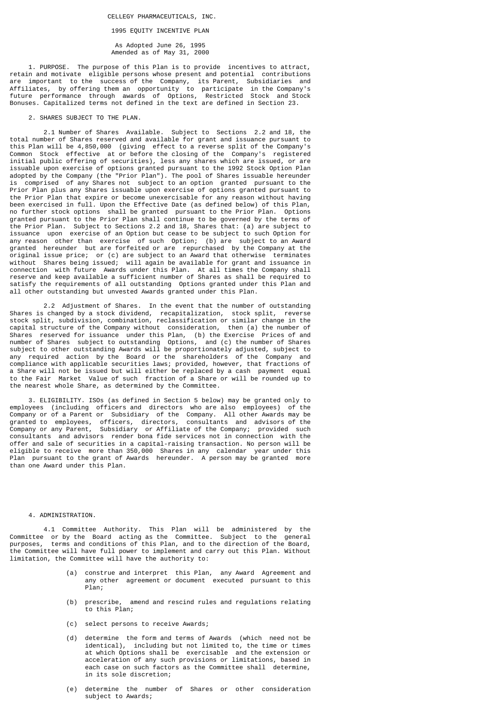1995 EQUITY INCENTIVE PLAN

 As Adopted June 26, 1995 Amended as of May 31, 2000

 1. PURPOSE. The purpose of this Plan is to provide incentives to attract, retain and motivate eligible persons whose present and potential contributions are important to the success of the Company, its Parent, Subsidiaries and Affiliates, by offering them an opportunity to participate in the Company's future performance through awards of Options, Restricted Stock and Stock Bonuses. Capitalized terms not defined in the text are defined in Section 23.

## 2. SHARES SUBJECT TO THE PLAN.

 2.1 Number of Shares Available. Subject to Sections 2.2 and 18, the total number of Shares reserved and available for grant and issuance pursuant to this Plan will be 4,850,000 (giving effect to a reverse split of the Company's Common Stock effective at or before the closing of the Company's registered initial public offering of securities), less any shares which are issued, or are issuable upon exercise of options granted pursuant to the 1992 Stock Option Plan adopted by the Company (the "Prior Plan"). The pool of Shares issuable hereunder is comprised of any Shares not subject to an option granted pursuant to the Prior Plan plus any Shares issuable upon exercise of options granted pursuant to the Prior Plan that expire or become unexercisable for any reason without having been exercised in full. Upon the Effective Date (as defined below) of this Plan, no further stock options shall be granted pursuant to the Prior Plan. Options granted pursuant to the Prior Plan shall continue to be governed by the terms of the Prior Plan. Subject to Sections 2.2 and 18, Shares that: (a) are subject to issuance upon exercise of an Option but cease to be subject to such Option for any reason other than exercise of such Option; (b) are subject to an Award granted hereunder but are forfeited or are repurchased by the Company at the original issue price; or (c) are subject to an Award that otherwise terminates without Shares being issued; will again be available for grant and issuance in connection with future Awards under this Plan. At all times the Company shall reserve and keep available a sufficient number of Shares as shall be required to satisfy the requirements of all outstanding Options granted under this Plan and all other outstanding but unvested Awards granted under this Plan.

 2.2 Adjustment of Shares. In the event that the number of outstanding Shares is changed by a stock dividend, recapitalization, stock split, reverse stock split, subdivision, combination, reclassification or similar change in the capital structure of the Company without consideration, then (a) the number of Shares reserved for issuance under this Plan, (b) the Exercise Prices of and number of Shares subject to outstanding Options, and (c) the number of Shares subject to other outstanding Awards will be proportionately adjusted, subject to any required action by the Board or the shareholders of the Company and compliance with applicable securities laws; provided, however, that fractions of a Share will not be issued but will either be replaced by a cash payment equal to the Fair Market Value of such fraction of a Share or will be rounded up to the nearest whole Share, as determined by the Committee.

 3. ELIGIBILITY. ISOs (as defined in Section 5 below) may be granted only to employees (including officers and directors who are also employees) of the Company or of a Parent or Subsidiary of the Company. All other Awards may be granted to employees, officers, directors, consultants and advisors of the Company or any Parent, Subsidiary or Affiliate of the Company; provided such consultants and advisors render bona fide services not in connection with the offer and sale of securities in a capital-raising transaction. No person will be eligible to receive more than 350,000 Shares in any calendar year under this Plan pursuant to the grant of Awards hereunder. A person may be granted more than one Award under this Plan.

## 4. ADMINISTRATION.

 4.1 Committee Authority. This Plan will be administered by the Committee or by the Board acting as the Committee. Subject to the general purposes, terms and conditions of this Plan, and to the direction of the Board, the Committee will have full power to implement and carry out this Plan. Without limitation, the Committee will have the authority to:

- (a) construe and interpret this Plan, any Award Agreement and any other agreement or document executed pursuant to this Plan;
- (b) prescribe, amend and rescind rules and regulations relating to this Plan;
- (c) select persons to receive Awards;
- (d) determine the form and terms of Awards (which need not be identical), including but not limited to, the time or times at which Options shall be exercisable and the extension or acceleration of any such provisions or limitations, based in each case on such factors as the Committee shall determine, in its sole discretion;
	- (e) determine the number of Shares or other consideration subject to Awards;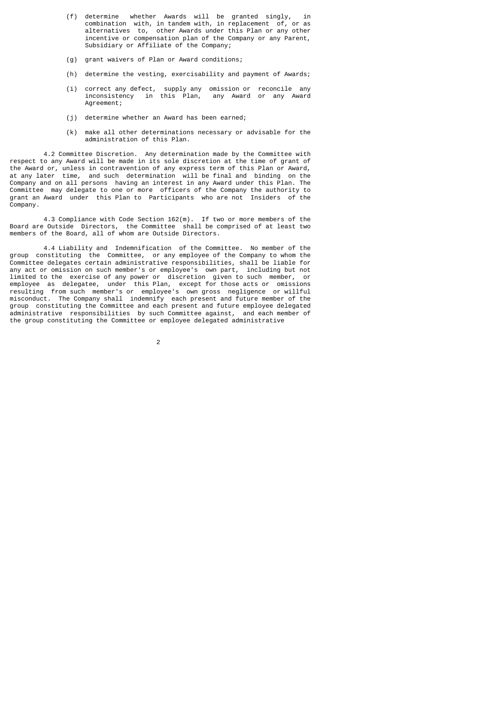- (f) determine whether Awards will be granted singly, in combination with, in tandem with, in replacement of, or as alternatives to, other Awards under this Plan or any other incentive or compensation plan of the Company or any Parent, Subsidiary or Affiliate of the Company;
	- (g) grant waivers of Plan or Award conditions;
	- (h) determine the vesting, exercisability and payment of Awards;
- (i) correct any defect, supply any omission or reconcile any inconsistency in this Plan, any Award or any Award Agreement;
	- (j) determine whether an Award has been earned;
	- (k) make all other determinations necessary or advisable for the administration of this Plan.

 4.2 Committee Discretion. Any determination made by the Committee with respect to any Award will be made in its sole discretion at the time of grant of the Award or, unless in contravention of any express term of this Plan or Award, at any later time, and such determination will be final and binding on the Company and on all persons having an interest in any Award under this Plan. The Committee may delegate to one or more officers of the Company the authority to grant an Award under this Plan to Participants who are not Insiders of the Company.

 4.3 Compliance with Code Section 162(m). If two or more members of the Board are Outside Directors, the Committee shall be comprised of at least two members of the Board, all of whom are Outside Directors.

 4.4 Liability and Indemnification of the Committee. No member of the group constituting the Committee, or any employee of the Company to whom the Committee delegates certain administrative responsibilities, shall be liable for any act or omission on such member's or employee's own part, including but not limited to the exercise of any power or discretion given to such member, or employee as delegatee, under this Plan, except for those acts or omissions resulting from such member's or employee's own gross negligence or willful misconduct. The Company shall indemnify each present and future member of the group constituting the Committee and each present and future employee delegated administrative responsibilities by such Committee against, and each member of the group constituting the Committee or employee delegated administrative

2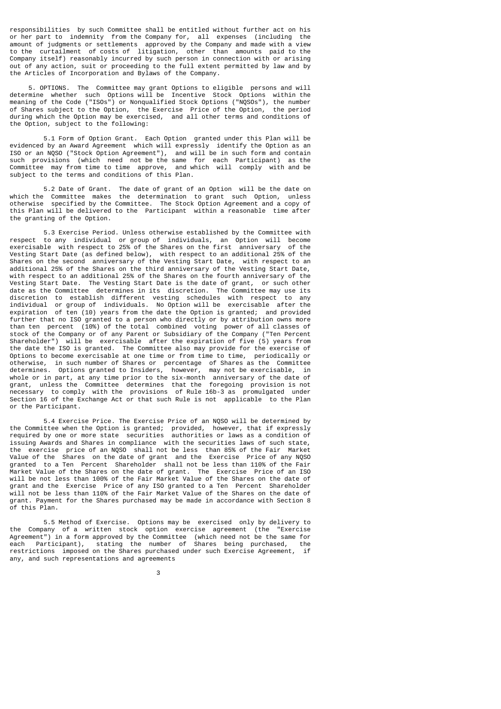responsibilities by such Committee shall be entitled without further act on his or her part to indemnity from the Company for, all expenses (including the amount of judgments or settlements approved by the Company and made with a view to the curtailment of costs of litigation, other than amounts paid to the Company itself) reasonably incurred by such person in connection with or arising out of any action, suit or proceeding to the full extent permitted by law and by the Articles of Incorporation and Bylaws of the Company.

 5. OPTIONS. The Committee may grant Options to eligible persons and will determine whether such Options will be Incentive Stock Options within the meaning of the Code ("ISOs") or Nonqualified Stock Options ("NQSOS"), the number of Shares subject to the Option, the Exercise Price of the Option, the period during which the Option may be exercised, and all other terms and conditions of the Option, subject to the following:

 5.1 Form of Option Grant. Each Option granted under this Plan will be evidenced by an Award Agreement which will expressly identify the Option as an ISO or an NQSO ("Stock Option Agreement"), and will be in such form and contain such provisions (which need not be the same for each Participant) as the Committee may from time to time approve, and which will comply with and be subject to the terms and conditions of this Plan.

 5.2 Date of Grant. The date of grant of an Option will be the date on which the Committee makes the determination to grant such Option, unless otherwise specified by the Committee. The Stock Option Agreement and a copy of this Plan will be delivered to the Participant within a reasonable time after the granting of the Option.

 5.3 Exercise Period. Unless otherwise established by the Committee with respect to any individual or group of individuals, an Option will become exercisable with respect to 25% of the Shares on the first anniversary of the Vesting Start Date (as defined below), with respect to an additional 25% of the Shares on the second anniversary of the Vesting Start Date, with respect to an additional 25% of the Shares on the third anniversary of the Vesting Start Date, with respect to an additional 25% of the Shares on the fourth anniversary of the Vesting Start Date. The Vesting Start Date is the date of grant, or such other date as the Committee determines in its discretion. The Committee may use its discretion to establish different vesting schedules with respect to any individual or group of individuals. No Option will be exercisable after the expiration of ten (10) years from the date the Option is granted; and provided further that no ISO granted to a person who directly or by attribution owns more than ten percent (10%) of the total combined voting power of all classes of stock of the Company or of any Parent or Subsidiary of the Company ("Ten Percent Shareholder") will be exercisable after the expiration of five (5) years from the date the ISO is granted. The Committee also may provide for the exercise of Options to become exercisable at one time or from time to time, periodically or otherwise, in such number of Shares or percentage of Shares as the Committee determines. Options granted to Insiders, however, may not be exercisable, in whole or in part, at any time prior to the six-month anniversary of the date of grant, unless the Committee determines that the foregoing provision is not necessary to comply with the provisions of Rule 16b-3 as promulgated under Section 16 of the Exchange Act or that such Rule is not applicable to the Plan or the Participant.

 5.4 Exercise Price. The Exercise Price of an NQSO will be determined by the Committee when the Option is granted; provided, however, that if expressly required by one or more state securities authorities or laws as a condition of issuing Awards and Shares in compliance with the securities laws of such state, the exercise price of an NQSO shall not be less than 85% of the Fair Market Value of the Shares on the date of grant and the Exercise Price of any NQSO granted to a Ten Percent Shareholder shall not be less than 110% of the Fair Market Value of the Shares on the date of grant. The Exercise Price of an ISO will be not less than 100% of the Fair Market Value of the Shares on the date of grant and the Exercise Price of any ISO granted to a Ten Percent Shareholder will not be less than 110% of the Fair Market Value of the Shares on the date of grant. Payment for the Shares purchased may be made in accordance with Section 8 of this Plan.

 5.5 Method of Exercise. Options may be exercised only by delivery to the Company of a written stock option exercise agreement (the "Exercise Agreement") in a form approved by the Committee (which need not be the same for each Participant), stating the number of Shares being purchased, the restrictions imposed on the Shares purchased under such Exercise Agreement, if any, and such representations and agreements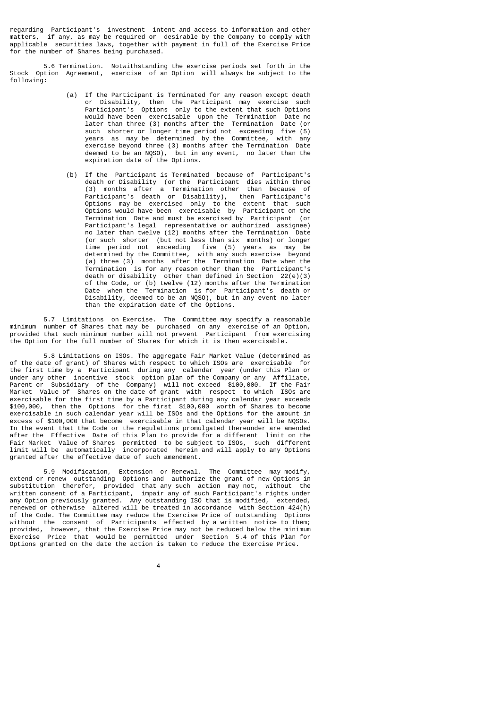regarding Participant's investment intent and access to information and other matters, if any, as may be required or desirable by the Company to comply with applicable securities laws, together with payment in full of the Exercise Price for the number of Shares being purchased.

 5.6 Termination. Notwithstanding the exercise periods set forth in the Stock Option Agreement, exercise of an Option will always be subject to the following:

- (a) If the Participant is Terminated for any reason except death or Disability, then the Participant may exercise such Participant's Options only to the extent that such Options would have been exercisable upon the Termination Date no later than three (3) months after the Termination Date (or such shorter or longer time period not exceeding five (5) years as may be determined by the Committee, with any exercise beyond three (3) months after the Termination Date deemed to be an NQSO), but in any event, no later than the expiration date of the Options.
- (b) If the Participant is Terminated because of Participant's death or Disability (or the Participant dies within three (3) months after a Termination other than because of Participant's death or Disability), then Participant's Options may be exercised only to the extent that such Options would have been exercisable by Participant on the Termination Date and must be exercised by Participant (or Participant's legal representative or authorized assignee) no later than twelve (12) months after the Termination Date (or such shorter (but not less than six months) or longer time period not exceeding five (5) years as may be determined by the Committee, with any such exercise beyond (a) three (3) months after the Termination Date when the Termination is for any reason other than the Participant's death or disability other than defined in Section 22(e)(3) of the Code, or (b) twelve (12) months after the Termination Date when the Termination is for Participant's death or Disability, deemed to be an NQSO), but in any event no later than the expiration date of the Options.

 5.7 Limitations on Exercise. The Committee may specify a reasonable minimum number of Shares that may be purchased on any exercise of an Option, provided that such minimum number will not prevent Participant from exercising the Option for the full number of Shares for which it is then exercisable.

 5.8 Limitations on ISOs. The aggregate Fair Market Value (determined as of the date of grant) of Shares with respect to which ISOs are exercisable for the first time by a Participant during any calendar year (under this Plan or under any other incentive stock option plan of the Company or any Affiliate, Parent or Subsidiary of the Company) will not exceed \$100,000. If the Fair Market Value of Shares on the date of grant with respect to which ISOs are exercisable for the first time by a Participant during any calendar year exceeds \$100,000, then the Options for the first \$100,000 worth of Shares to become exercisable in such calendar year will be ISOs and the Options for the amount in excess of \$100,000 that become exercisable in that calendar year will be NQSOs. In the event that the Code or the regulations promulgated thereunder are amended after the Effective Date of this Plan to provide for a different limit on the Fair Market Value of Shares permitted to be subject to ISOs, such different limit will be automatically incorporated herein and will apply to any Options granted after the effective date of such amendment.

 5.9 Modification, Extension or Renewal. The Committee may modify, extend or renew outstanding Options and authorize the grant of new Options in substitution therefor, provided that any such action may not, without the written consent of a Participant, impair any of such Participant's rights under any Option previously granted. Any outstanding ISO that is modified, extended, renewed or otherwise altered will be treated in accordance with Section 424(h) of the Code. The Committee may reduce the Exercise Price of outstanding Options without the consent of Participants effected by a written notice to them; provided, however, that the Exercise Price may not be reduced below the minimum Exercise Price that would be permitted under Section 5.4 of this Plan for Options granted on the date the action is taken to reduce the Exercise Price.

4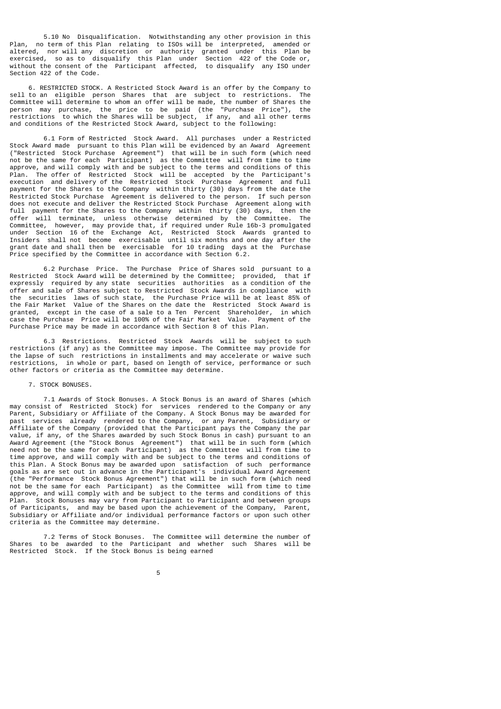5.10 No Disqualification. Notwithstanding any other provision in this Plan, no term of this Plan relating to ISOs will be interpreted, amended or altered, nor will any discretion or authority granted under this Plan be exercised, so as to disqualify this Plan under Section 422 of the Code or, without the consent of the Participant affected, to disqualify any ISO under Section 422 of the Code.

6. RESTRICTED STOCK. A Restricted Stock Award is an offer by the Company to to an eligible person Shares that are subject to restrictions. The sell to an eligible person Shares that are subject to restrictions. Committee will determine to whom an offer will be made, the number of Shares the person may purchase, the price to be paid (the "Purchase Price"), the restrictions to which the Shares will be subject, if any, and all other terms and conditions of the Restricted Stock Award, subject to the following:

 6.1 Form of Restricted Stock Award. All purchases under a Restricted Stock Award made pursuant to this Plan will be evidenced by an Award Agreement ("Restricted Stock Purchase Agreement") that will be in such form (which need not be the same for each Participant) as the Committee will from time to time approve, and will comply with and be subject to the terms and conditions of this Plan. The offer of Restricted Stock will be accepted by the Participant's execution and delivery of the Restricted Stock Purchase Agreement and full payment for the Shares to the Company within thirty (30) days from the date the Restricted Stock Purchase Agreement is delivered to the person. If such person does not execute and deliver the Restricted Stock Purchase Agreement along with full payment for the Shares to the Company within thirty (30) days, then the offer will terminate, unless otherwise determined by the Committee. The Committee, however, may provide that, if required under Rule 16b-3 promulgated under Section 16 of the Exchange Act, Restricted Stock Awards granted to Insiders shall not become exercisable until six months and one day after the grant date and shall then be exercisable for 10 trading days at the Purchase Price specified by the Committee in accordance with Section 6.2.

 6.2 Purchase Price. The Purchase Price of Shares sold pursuant to a Restricted Stock Award will be determined by the Committee; provided, that if expressly required by any state securities authorities as a condition of the offer and sale of Shares subject to Restricted Stock Awards in compliance with the securities laws of such state, the Purchase Price will be at least 85% of the Fair Market Value of the Shares on the date the Restricted Stock Award is granted, except in the case of a sale to a Ten Percent Shareholder, in which case the Purchase Price will be 100% of the Fair Market Value. Payment of the Purchase Price may be made in accordance with Section 8 of this Plan.

 6.3 Restrictions. Restricted Stock Awards will be subject to such restrictions (if any) as the Committee may impose. The Committee may provide for the lapse of such restrictions in installments and may accelerate or waive such restrictions, in whole or part, based on length of service, performance or such other factors or criteria as the Committee may determine.

# 7. STOCK BONUSES.

 7.1 Awards of Stock Bonuses. A Stock Bonus is an award of Shares (which may consist of Restricted Stock) for services rendered to the Company or any Parent, Subsidiary or Affiliate of the Company. A Stock Bonus may be awarded for<br>past services already rendered to the Company, or any Parent, Subsidiary or services already rendered to the Company, or any Parent, Subsidiary or Affiliate of the Company (provided that the Participant pays the Company the par value, if any, of the Shares awarded by such Stock Bonus in cash) pursuant to an Award Agreement (the "Stock Bonus Agreement") that will be in such form (which need not be the same for each Participant) as the Committee will from time to time approve, and will comply with and be subject to the terms and conditions of this Plan. A Stock Bonus may be awarded upon satisfaction of such performance goals as are set out in advance in the Participant's individual Award Agreement (the "Performance Stock Bonus Agreement") that will be in such form (which need not be the same for each Participant) as the Committee will from time to time approve, and will comply with and be subject to the terms and conditions of this Plan. Stock Bonuses may vary from Participant to Participant and between groups of Participants, and may be based upon the achievement of the Company, Parent, Subsidiary or Affiliate and/or individual performance factors or upon such other criteria as the Committee may determine.

 7.2 Terms of Stock Bonuses. The Committee will determine the number of Shares to be awarded to the Participant and whether such Shares will be Restricted Stock. If the Stock Bonus is being earned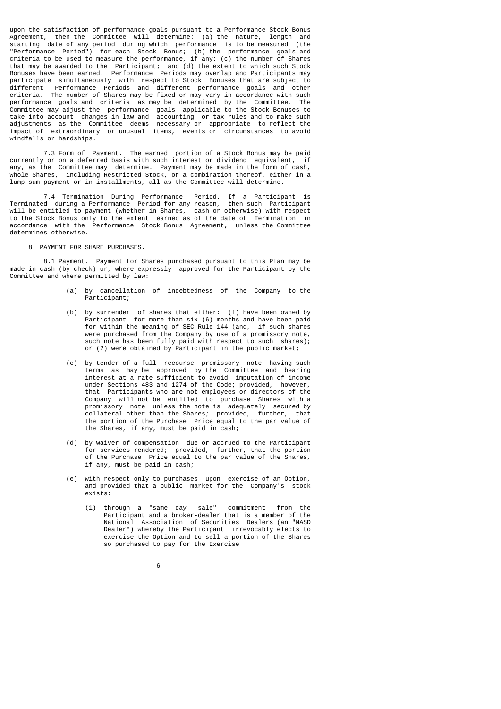upon the satisfaction of performance goals pursuant to a Performance Stock Bonus Agreement, then the Committee will determine: (a) the nature, length and starting date of any period during which performance is to be measured (the "Performance Period") for each Stock Bonus; (b) the performance goals and criteria to be used to measure the performance, if any; (c) the number of Shares that may be awarded to the Participant; and (d) the extent to which such Stock Bonuses have been earned. Performance Periods may overlap and Participants may participate simultaneously with respect to Stock Bonuses that are subject to different Performance Periods and different performance goals and other criteria. The number of Shares may be fixed or may vary in accordance with such performance goals and criteria as may be determined by the Committee. The Committee may adjust the performance goals applicable to the Stock Bonuses to take into account changes in law and accounting or tax rules and to make such adjustments as the Committee deems necessary or appropriate to reflect the impact of extraordinary or unusual items, events or circumstances to avoid windfalls or hardships.

 7.3 Form of Payment. The earned portion of a Stock Bonus may be paid currently or on a deferred basis with such interest or dividend equivalent, if any, as the Committee may determine. Payment may be made in the form of cash, whole Shares, including Restricted Stock, or a combination thereof, either in a lump sum payment or in installments, all as the Committee will determine.

 7.4 Termination During Performance Period. If a Participant is Terminated during a Performance Period for any reason, then such Participant will be entitled to payment (whether in Shares, cash or otherwise) with respect to the Stock Bonus only to the extent earned as of the date of Termination in accordance with the Performance Stock Bonus Agreement, unless the Committee determines otherwise.

8. PAYMENT FOR SHARE PURCHASES.

 8.1 Payment. Payment for Shares purchased pursuant to this Plan may be made in cash (by check) or, where expressly approved for the Participant by the Committee and where permitted by law:

- (a) by cancellation of indebtedness of the Company to the Participant;
- (b) by surrender of shares that either: (1) have been owned by Participant for more than six (6) months and have been paid for within the meaning of SEC Rule 144 (and, if such shares were purchased from the Company by use of a promissory note, such note has been fully paid with respect to such shares); or (2) were obtained by Participant in the public market;
- (c) by tender of a full recourse promissory note having such terms as may be approved by the Committee and bearing interest at a rate sufficient to avoid imputation of income under Sections 483 and 1274 of the Code; provided, however, that Participants who are not employees or directors of the Company will not be entitled to purchase Shares with a promissory note unless the note is adequately secured by collateral other than the Shares; provided, further, that the portion of the Purchase Price equal to the par value of the Shares, if any, must be paid in cash;
- (d) by waiver of compensation due or accrued to the Participant for services rendered; provided, further, that the portion of the Purchase Price equal to the par value of the Shares, if any, must be paid in cash;
	- with respect only to purchases upon exercise of an Option, and provided that a public market for the Company's stock exists:
		- (1) through a "same day sale" commitment from the Participant and a broker-dealer that is a member of the National Association of Securities Dealers (an "NASD Dealer") whereby the Participant irrevocably elects to exercise the Option and to sell a portion of the Shares so purchased to pay for the Exercise
- $\sim$  6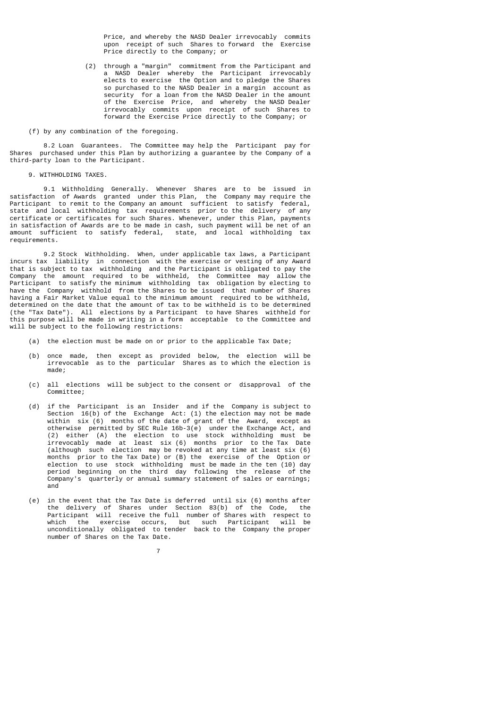Price, and whereby the NASD Dealer irrevocably commits upon receipt of such Shares to forward the Exercise Price directly to the Company; or

 (2) through a "margin" commitment from the Participant and a NASD Dealer whereby the Participant irrevocably elects to exercise the Option and to pledge the Shares so purchased to the NASD Dealer in a margin account as security for a loan from the NASD Dealer in the amount of the Exercise Price, and whereby the NASD Dealer irrevocably commits upon receipt of such Shares to forward the Exercise Price directly to the Company; or

(f) by any combination of the foregoing.

 8.2 Loan Guarantees. The Committee may help the Participant pay for Shares purchased under this Plan by authorizing a guarantee by the Company of a third-party loan to the Participant.

# 9. WITHHOLDING TAXES.

 9.1 Withholding Generally. Whenever Shares are to be issued in satisfaction of Awards granted under this Plan, the Company may require the Participant to remit to the Company an amount sufficient to satisfy federal, state and local withholding tax requirements prior to the delivery of any certificate or certificates for such Shares. Whenever, under this Plan, payments in satisfaction of Awards are to be made in cash, such payment will be net of an amount sufficient to satisfy federal, state, and local withholding tax requirements.

 9.2 Stock Withholding. When, under applicable tax laws, a Participant incurs tax liability in connection with the exercise or vesting of any Award that is subject to tax withholding and the Participant is obligated to pay the Company the amount required to be withheld, the Committee may allow the Participant to satisfy the minimum withholding tax obligation by electing to have the Company withhold from the Shares to be issued that number of Shares having a Fair Market Value equal to the minimum amount required to be withheld, determined on the date that the amount of tax to be withheld is to be determined (the "Tax Date"). All elections by a Participant to have Shares withheld for this purpose will be made in writing in a form acceptable to the Committee and will be subject to the following restrictions:

- (a) the election must be made on or prior to the applicable Tax Date;
- (b) once made, then except as provided below, the election will be irrevocable as to the particular Shares as to which the election is made;
	- (c) all elections will be subject to the consent or disapproval of the Committee;
- (d) if the Participant is an Insider and if the Company is subject to Section 16(b) of the Exchange Act: (1) the election may not be made within six (6) months of the date of grant of the Award, except as otherwise permitted by SEC Rule 16b-3(e) under the Exchange Act, and (2) either (A) the election to use stock withholding must be irrevocably made at least six (6) months prior to the Tax Date (although such election may be revoked at any time at least six (6) months prior to the Tax Date) or (B) the exercise of the Option or election to use stock withholding must be made in the ten (10) day period beginning on the third day following the release of the Company's quarterly or annual summary statement of sales or earnings; and
- (e) in the event that the Tax Date is deferred until six (6) months after the delivery of Shares under Section 83(b) of the Code, the Participant will receive the full number of Shares with respect to which the exercise occurs, but such Participant will be unconditionally obligated to tender back to the Company the proper number of Shares on the Tax Date.
- 7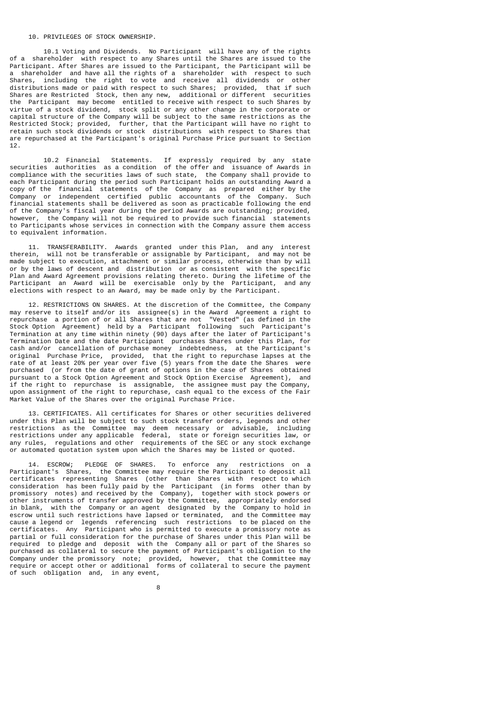## 10. PRIVILEGES OF STOCK OWNERSHIP.

 10.1 Voting and Dividends. No Participant will have any of the rights of a shareholder with respect to any Shares until the Shares are issued to the Participant. After Shares are issued to the Participant, the Participant will be a shareholder and have all the rights of a shareholder with respect to such Shares, including the right to vote and receive all dividends or other distributions made or paid with respect to such Shares; provided, that if such Shares are Restricted Stock, then any new, additional or different securities the Participant may become entitled to receive with respect to such Shares by virtue of a stock dividend, stock split or any other change in the corporate or capital structure of the Company will be subject to the same restrictions as the Restricted Stock; provided, further, that the Participant will have no right to retain such stock dividends or stock distributions with respect to Shares that are repurchased at the Participant's original Purchase Price pursuant to Section 12.

 10.2 Financial Statements. If expressly required by any state securities authorities as a condition of the offer and issuance of Awards in compliance with the securities laws of such state, the Company shall provide to each Participant during the period such Participant holds an outstanding Award a copy of the financial statements of the Company as prepared either by the Company or independent certified public accountants of the Company. Such financial statements shall be delivered as soon as practicable following the end of the Company's fiscal year during the period Awards are outstanding; provided, however, the Company will not be required to provide such financial statements to Participants whose services in connection with the Company assure them access to equivalent information.

 11. TRANSFERABILITY. Awards granted under this Plan, and any interest therein, will not be transferable or assignable by Participant, and may not be made subject to execution, attachment or similar process, otherwise than by will or by the laws of descent and distribution or as consistent with the specific Plan and Award Agreement provisions relating thereto. During the lifetime of the Participant an Award will be exercisable only by the Participant, and any elections with respect to an Award, may be made only by the Participant.

 12. RESTRICTIONS ON SHARES. At the discretion of the Committee, the Company may reserve to itself and/or its assignee(s) in the Award Agreement a right to repurchase a portion of or all Shares that are not "Vested" (as defined in the Stock Option Agreement) held by a Participant following such Participant's Termination at any time within ninety (90) days after the later of Participant's Termination Date and the date Participant purchases Shares under this Plan, for cash and/or cancellation of purchase money indebtedness, at the Participant's original Purchase Price, provided, that the right to repurchase lapses at the rate of at least 20% per year over five (5) years from the date the Shares were purchased (or from the date of grant of options in the case of Shares obtained pursuant to a Stock Option Agreement and Stock Option Exercise Agreement), and if the right to repurchase is assignable, the assignee must pay the Company, upon assignment of the right to repurchase, cash equal to the excess of the Fair Market Value of the Shares over the original Purchase Price.

 13. CERTIFICATES. All certificates for Shares or other securities delivered under this Plan will be subject to such stock transfer orders, legends and other restrictions as the Committee may deem necessary or advisable, including restrictions under any applicable federal, state or foreign securities law, or any rules, regulations and other requirements of the SEC or any stock exchange or automated quotation system upon which the Shares may be listed or quoted.

 14. ESCROW; PLEDGE OF SHARES. To enforce any restrictions on a Participant's Shares, the Committee may require the Participant to deposit all certificates representing Shares (other than Shares with respect to which consideration has been fully paid by the Participant (in forms other than by promissory notes) and received by the Company), together with stock powers or other instruments of transfer approved by the Committee, appropriately endorsed in blank, with the Company or an agent designated by the Company to hold in escrow until such restrictions have lapsed or terminated, and the Committee may cause a legend or legends referencing such restrictions to be placed on the certificates. Any Participant who is permitted to execute a promissory note as partial or full consideration for the purchase of Shares under this Plan will be required to pledge and deposit with the Company all or part of the Shares so purchased as collateral to secure the payment of Participant's obligation to the Company under the promissory note; provided, however, that the Committee may require or accept other or additional forms of collateral to secure the payment of such obligation and, in any event,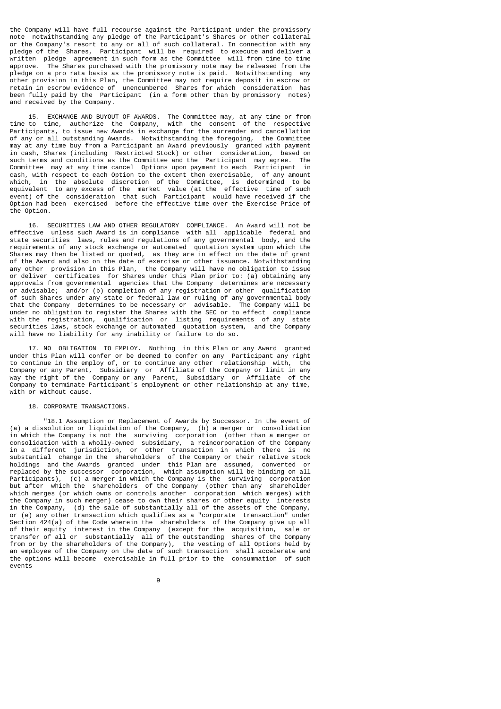the Company will have full recourse against the Participant under the promissory note notwithstanding any pledge of the Participant's Shares or other collateral or the Company's resort to any or all of such collateral. In connection with any pledge of the Shares, Participant will be required to execute and deliver a written pledge agreement in such form as the Committee will from time to time<br>approve. The Shares purchased with the promissory note may be released from the The Shares purchased with the promissory note may be released from the pledge on a pro rata basis as the promissory note is paid. Notwithstanding any other provision in this Plan, the Committee may not require deposit in escrow or retain in escrow evidence of unencumbered Shares for which consideration has been fully paid by the Participant (in a form other than by promissory notes) and received by the Company.

 15. EXCHANGE AND BUYOUT OF AWARDS. The Committee may, at any time or from time to time, authorize the Company, with the consent of the respective Participants, to issue new Awards in exchange for the surrender and cancellation of any or all outstanding Awards. Notwithstanding the foregoing, the Committee may at any time buy from a Participant an Award previously granted with payment in cash, Shares (including Restricted Stock) or other consideration, based on such terms and conditions as the Committee and the Participant may agree. The Committee may at any time cancel Options upon payment to each Participant in cash, with respect to each Option to the extent then exercisable, of any amount which, in the absolute discretion of the Committee, is determined to be equivalent to any excess of the market value (at the effective time of such event) of the consideration that such Participant would have received if the Option had been exercised before the effective time over the Exercise Price of the Option.

 16. SECURITIES LAW AND OTHER REGULATORY COMPLIANCE. An Award will not be effective unless such Award is in compliance with all applicable federal and state securities laws, rules and regulations of any governmental body, and the requirements of any stock exchange or automated quotation system upon which the Shares may then be listed or quoted, as they are in effect on the date of grant of the Award and also on the date of exercise or other issuance. Notwithstanding any other provision in this Plan, the Company will have no obligation to issue or deliver certificates for Shares under this Plan prior to: (a) obtaining any approvals from governmental agencies that the Company determines are necessary or advisable; and/or (b) completion of any registration or other qualification of such Shares under any state or federal law or ruling of any governmental body that the Company determines to be necessary or advisable. The Company will be under no obligation to register the Shares with the SEC or to effect compliance with the registration, qualification or listing requirements of any state securities laws, stock exchange or automated quotation system, and the Company will have no liability for any inability or failure to do so.

 17. NO OBLIGATION TO EMPLOY. Nothing in this Plan or any Award granted under this Plan will confer or be deemed to confer on any Participant any right to continue in the employ of, or to continue any other relationship with, the Company or any Parent, Subsidiary or Affiliate of the Company or limit in any way the right of the Company or any Parent, Subsidiary or Affiliate of the Company to terminate Participant's employment or other relationship at any time, with or without cause.

# 18. CORPORATE TRANSACTIONS.

 "18.1 Assumption or Replacement of Awards by Successor. In the event of (a) a dissolution or liquidation of the Company, (b) a merger or consolidation in which the Company is not the surviving corporation (other than a merger or consolidation with a wholly-owned subsidiary, a reincorporation of the Company in a different jurisdiction, or other transaction in which there is no substantial change in the shareholders of the Company or their relative stock holdings and the Awards granted under this Plan are assumed, converted or replaced by the successor corporation, which assumption will be binding on all Participants), (c) a merger in which the Company is the surviving corporation but after which the shareholders of the Company (other than any shareholder which merges (or which owns or controls another corporation which merges) with the Company in such merger) cease to own their shares or other equity interests in the Company, (d) the sale of substantially all of the assets of the Company, or (e) any other transaction which qualifies as a "corporate transaction" under Section 424(a) of the Code wherein the shareholders of the Company give up all of their equity interest in the Company (except for the acquisition, sale or transfer of all or substantially all of the outstanding shares of the Company from or by the shareholders of the Company), the vesting of all Options held by an employee of the Company on the date of such transaction shall accelerate and the options will become exercisable in full prior to the consummation of such events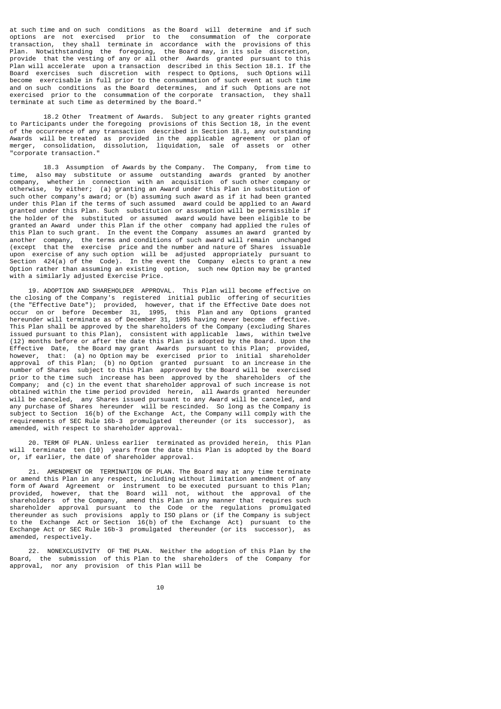at such time and on such conditions as the Board will determine and if such options are not exercised prior to the consummation of the corporate transaction, they shall terminate in accordance with the provisions of this Plan. Notwithstanding the foregoing, the Board may, in its sole discretion, provide that the vesting of any or all other Awards granted pursuant to this Plan will accelerate upon a transaction described in this Section 18.1. If the Board exercises such discretion with respect to Options, such Options will become exercisable in full prior to the consummation of such event at such time and on such conditions as the Board determines, and if such Options are not exercised prior to the consummation of the corporate transaction, they shall terminate at such time as determined by the Board."

 18.2 Other Treatment of Awards. Subject to any greater rights granted to Participants under the foregoing provisions of this Section 18, in the event of the occurrence of any transaction described in Section 18.1, any outstanding Awards will be treated as provided in the applicable agreement or plan of merger, consolidation, dissolution, liquidation, sale of assets or other "corporate transaction."

 18.3 Assumption of Awards by the Company. The Company, from time to time, also may substitute or assume outstanding awards granted by another company, whether in connection with an acquisition of such other company or otherwise, by either; (a) granting an Award under this Plan in substitution of such other company's award; or (b) assuming such award as if it had been granted under this Plan if the terms of such assumed award could be applied to an Award granted under this Plan. Such substitution or assumption will be permissible if the holder of the substituted or assumed award would have been eligible to be granted an Award under this Plan if the other company had applied the rules of this Plan to such grant. In the event the Company assumes an award granted by another company, the terms and conditions of such award will remain unchanged (except that the exercise price and the number and nature of Shares issuable upon exercise of any such option will be adjusted appropriately pursuant to Section 424(a) of the Code). In the event the Company elects to grant a new Option rather than assuming an existing option, such new Option may be granted with a similarly adjusted Exercise Price.

 19. ADOPTION AND SHAREHOLDER APPROVAL. This Plan will become effective on the closing of the Company's registered initial public offering of securities (the "Effective Date"); provided, however, that if the Effective Date does not occur on or before December 31, 1995, this Plan and any Options granted hereunder will terminate as of December 31, 1995 having never become effective. This Plan shall be approved by the shareholders of the Company (excluding Shares issued pursuant to this Plan), consistent with applicable laws, within twelve (12) months before or after the date this Plan is adopted by the Board. Upon the Effective Date, the Board may grant Awards pursuant to this Plan; provided, however, that: (a) no Option may be exercised prior to initial shareholder approval of this Plan; (b) no Option granted pursuant to an increase in the number of Shares subject to this Plan approved by the Board will be exercised prior to the time such increase has been approved by the shareholders of the Company; and (c) in the event that shareholder approval of such increase is not obtained within the time period provided herein, all Awards granted hereunder will be canceled, any Shares issued pursuant to any Award will be canceled, and any purchase of Shares hereunder will be rescinded. So long as the Company is subject to Section 16(b) of the Exchange Act, the Company will comply with the requirements of SEC Rule 16b-3 promulgated thereunder (or its successor), as amended, with respect to shareholder approval.

 20. TERM OF PLAN. Unless earlier terminated as provided herein, this Plan will terminate ten (10) years from the date this Plan is adopted by the Board or, if earlier, the date of shareholder approval.

 21. AMENDMENT OR TERMINATION OF PLAN. The Board may at any time terminate or amend this Plan in any respect, including without limitation amendment of any form of Award Agreement or instrument to be executed pursuant to this Plan; provided, however, that the Board will not, without the approval of the shareholders of the Company, amend this Plan in any manner that requires such shareholder approval pursuant to the Code or the regulations promulgated thereunder as such provisions apply to ISO plans or (if the Company is subject to the Exchange Act or Section 16(b) of the Exchange Act) pursuant to the Exchange Act or SEC Rule 16b-3 promulgated thereunder (or its successor), as amended, respectively.

 22. NONEXCLUSIVITY OF THE PLAN. Neither the adoption of this Plan by the Board, the submission of this Plan to the shareholders of the Company for approval, nor any provision of this Plan will be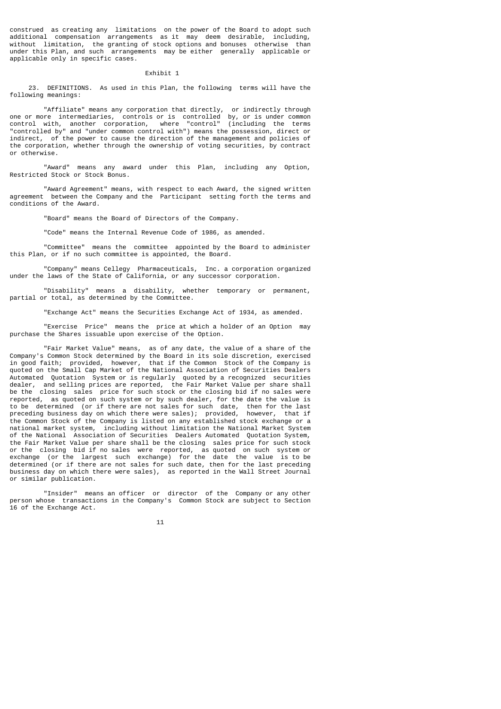construed as creating any limitations on the power of the Board to adopt such additional compensation arrangements as it may deem desirable, including, without limitation, the granting of stock options and bonuses otherwise than under this Plan, and such arrangements may be either generally applicable or applicable only in specific cases.

## Exhibit 1

 23. DEFINITIONS. As used in this Plan, the following terms will have the following meanings:

 "Affiliate" means any corporation that directly, or indirectly through one or more intermediaries, controls or is controlled by, or is under common control with, another corporation, where "control" (including the terms "controlled by" and "under common control with") means the possession, direct or indirect, of the power to cause the direction of the management and policies of the corporation, whether through the ownership of voting securities, by contract or otherwise.

 "Award" means any award under this Plan, including any Option, Restricted Stock or Stock Bonus.

 "Award Agreement" means, with respect to each Award, the signed written agreement between the Company and the Participant setting forth the terms and conditions of the Award.

"Board" means the Board of Directors of the Company.

"Code" means the Internal Revenue Code of 1986, as amended.

 "Committee" means the committee appointed by the Board to administer this Plan, or if no such committee is appointed, the Board.

 "Company" means Cellegy Pharmaceuticals, Inc. a corporation organized under the laws of the State of California, or any successor corporation.

 "Disability" means a disability, whether temporary or permanent, partial or total, as determined by the Committee.

"Exchange Act" means the Securities Exchange Act of 1934, as amended.

 "Exercise Price" means the price at which a holder of an Option may purchase the Shares issuable upon exercise of the Option.

 "Fair Market Value" means, as of any date, the value of a share of the Company's Common Stock determined by the Board in its sole discretion, exercised in good faith; provided, however, that if the Common Stock of the Company is quoted on the Small Cap Market of the National Association of Securities Dealers Automated Quotation System or is regularly quoted by a recognized securities dealer, and selling prices are reported, the Fair Market Value per share shall be the closing sales price for such stock or the closing bid if no sales were reported, as quoted on such system or by such dealer, for the date the value is to be determined (or if there are not sales for such date, then for the last preceding business day on which there were sales); provided, however, that if the Common Stock of the Company is listed on any established stock exchange or a national market system, including without limitation the National Market System of the National Association of Securities Dealers Automated Quotation System, the Fair Market Value per share shall be the closing sales price for such stock or the closing bid if no sales were reported, as quoted on such system or exchange (or the largest such exchange) for the date the value is to be determined (or if there are not sales for such date, then for the last preceding business day on which there were sales), as reported in the Wall Street Journal or similar publication.

 "Insider" means an officer or director of the Company or any other person whose transactions in the Company's Common Stock are subject to Section 16 of the Exchange Act.

 $11$